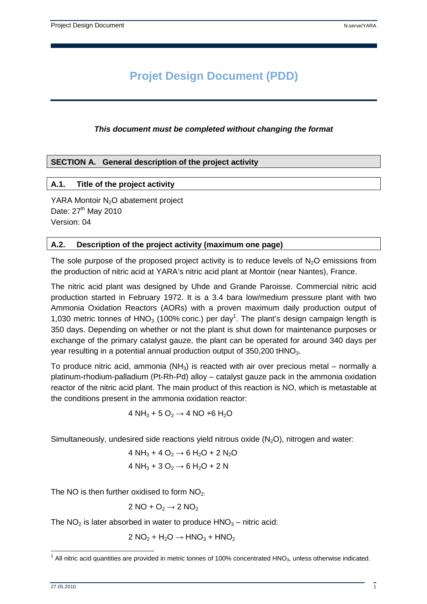# **Projet Design Document (PDD)**

#### **This document must be completed without changing the format**

#### **SECTION A. General description of the project activity**

#### **A.1. Title of the project activity**

YARA Montoir N<sub>2</sub>O abatement project Date: 27<sup>th</sup> May 2010 Version: 04

#### **A.2. Description of the project activity (maximum one page)**

The sole purpose of the proposed project activity is to reduce levels of  $N_2O$  emissions from the production of nitric acid at YARA's nitric acid plant at Montoir (near Nantes), France.

The nitric acid plant was designed by Uhde and Grande Paroisse. Commercial nitric acid production started in February 1972. It is a 3.4 bara low/medium pressure plant with two Ammonia Oxidation Reactors (AORs) with a proven maximum daily production output of 1,030 metric tonnes of  $HNO<sub>3</sub>$  (100% conc.) per day<sup>1</sup>. The plant's design campaign length is 350 days. Depending on whether or not the plant is shut down for maintenance purposes or exchange of the primary catalyst gauze, the plant can be operated for around 340 days per year resulting in a potential annual production output of 350,200 tHNO<sub>3</sub>.

To produce nitric acid, ammonia ( $NH<sub>3</sub>$ ) is reacted with air over precious metal – normally a platinum-rhodium-palladium (Pt-Rh-Pd) alloy – catalyst gauze pack in the ammonia oxidation reactor of the nitric acid plant. The main product of this reaction is NO, which is metastable at the conditions present in the ammonia oxidation reactor:

$$
4 NH_3 + 5 O_2 \rightarrow 4 NO + 6 H_2 O
$$

Simultaneously, undesired side reactions yield nitrous oxide  $(N_2O)$ , nitrogen and water:

$$
4 NH_3 + 4 O_2 \rightarrow 6 H_2O + 2 N_2O
$$

$$
4 NH_3 + 3 O_2 \rightarrow 6 H_2O + 2 N
$$

The NO is then further oxidised to form  $NO<sub>2</sub>$ :

$$
2\,\text{NO} + \text{O}_2 \rightarrow 2\,\text{NO}_2
$$

The  $NO<sub>2</sub>$  is later absorbed in water to produce  $HNO<sub>3</sub> -$  nitric acid:

$$
2\,\text{NO}_2 + \text{H}_2\text{O} \rightarrow \text{HNO}_3 + \text{HNO}_2
$$

 $\overline{a}$  $1$  All nitric acid quantities are provided in metric tonnes of 100% concentrated HNO<sub>3</sub>, unless otherwise indicated.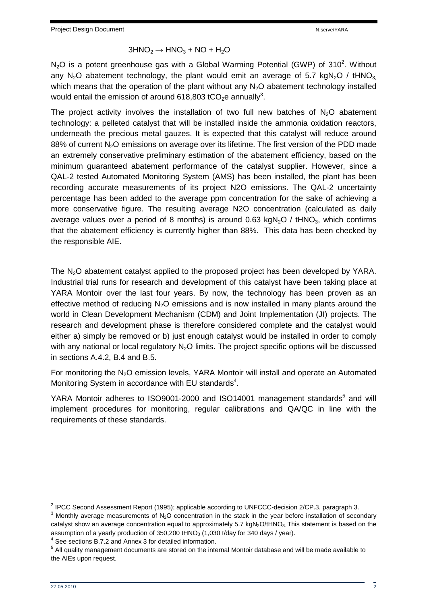Project Design Document N.serve/YARA

$$
3HNO_2 \rightarrow HNO_3 + NO + H_2O
$$

 $N_2O$  is a potent greenhouse gas with a Global Warming Potential (GWP) of 310<sup>2</sup>. Without any N<sub>2</sub>O abatement technology, the plant would emit an average of 5.7 kgN<sub>2</sub>O / tHNO<sub>3</sub> which means that the operation of the plant without any  $N_2O$  abatement technology installed would entail the emission of around 618,803 tCO<sub>2</sub>e annually<sup>3</sup>.

The project activity involves the installation of two full new batches of  $N<sub>2</sub>O$  abatement technology: a pelleted catalyst that will be installed inside the ammonia oxidation reactors, underneath the precious metal gauzes. It is expected that this catalyst will reduce around 88% of current  $N_2O$  emissions on average over its lifetime. The first version of the PDD made an extremely conservative preliminary estimation of the abatement efficiency, based on the minimum guaranteed abatement performance of the catalyst supplier. However, since a QAL-2 tested Automated Monitoring System (AMS) has been installed, the plant has been recording accurate measurements of its project N2O emissions. The QAL-2 uncertainty percentage has been added to the average ppm concentration for the sake of achieving a more conservative figure. The resulting average N2O concentration (calculated as daily average values over a period of 8 months) is around 0.63 kgN<sub>2</sub>O / tHNO<sub>3</sub>, which confirms that the abatement efficiency is currently higher than 88%. This data has been checked by the responsible AIE.

The N<sub>2</sub>O abatement catalyst applied to the proposed project has been developed by YARA. Industrial trial runs for research and development of this catalyst have been taking place at YARA Montoir over the last four years. By now, the technology has been proven as an effective method of reducing  $N<sub>2</sub>O$  emissions and is now installed in many plants around the world in Clean Development Mechanism (CDM) and Joint Implementation (JI) projects. The research and development phase is therefore considered complete and the catalyst would either a) simply be removed or b) just enough catalyst would be installed in order to comply with any national or local regulatory  $N_2O$  limits. The project specific options will be discussed in sections A.4.2, B.4 and B.5.

For monitoring the N<sub>2</sub>O emission levels, YARA Montoir will install and operate an Automated Monitoring System in accordance with EU standards<sup>4</sup>.

YARA Montoir adheres to ISO9001-2000 and ISO14001 management standards<sup>5</sup> and will implement procedures for monitoring, regular calibrations and QA/QC in line with the requirements of these standards.

 2 IPCC Second Assessment Report (1995); applicable according to UNFCCC-decision 2/CP.3, paragraph 3.

<sup>&</sup>lt;sup>3</sup> Monthly average measurements of N<sub>2</sub>O concentration in the stack in the year before installation of secondary catalyst show an average concentration equal to approximately 5.7  $kgN<sub>2</sub>O/HNO<sub>3</sub>$ . This statement is based on the assumption of a yearly production of  $350,200$  tHNO<sub>3</sub> (1,030 t/day for 340 days / year).

<sup>&</sup>lt;sup>4</sup> See sections B.7.2 and Annex 3 for detailed information.

<sup>&</sup>lt;sup>5</sup> All quality management documents are stored on the internal Montoir database and will be made available to the AIEs upon request.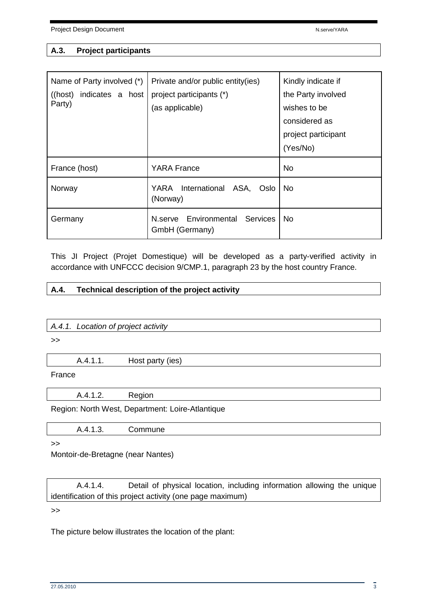# **A.3. Project participants**

| Name of Party involved (*)<br>indicates a host<br>$($ (host)<br>Party) | Private and/or public entity(ies)<br>project participants (*)<br>(as applicable) | Kindly indicate if<br>the Party involved<br>wishes to be<br>considered as<br>project participant |
|------------------------------------------------------------------------|----------------------------------------------------------------------------------|--------------------------------------------------------------------------------------------------|
|                                                                        |                                                                                  | (Yes/No)                                                                                         |
| France (host)                                                          | YARA France                                                                      | <b>No</b>                                                                                        |
| Norway                                                                 | International ASA,<br>YARA<br>Oslo<br>(Norway)                                   | <b>No</b>                                                                                        |
| Germany                                                                | Environmental<br>N.serve<br><b>Services</b><br>GmbH (Germany)                    | No.                                                                                              |

This JI Project (Projet Domestique) will be developed as a party-verified activity in accordance with UNFCCC decision 9/CMP.1, paragraph 23 by the host country France.

#### **A.4. Technical description of the project activity**

A.4.1. Location of project activity

>>

A.4.1.1. Host party (ies)

France

A.4.1.2. Region

Region: North West, Department: Loire-Atlantique

A.4.1.3. Commune

>>

Montoir-de-Bretagne (near Nantes)

 A.4.1.4. Detail of physical location, including information allowing the unique identification of this project activity (one page maximum)

>>

The picture below illustrates the location of the plant: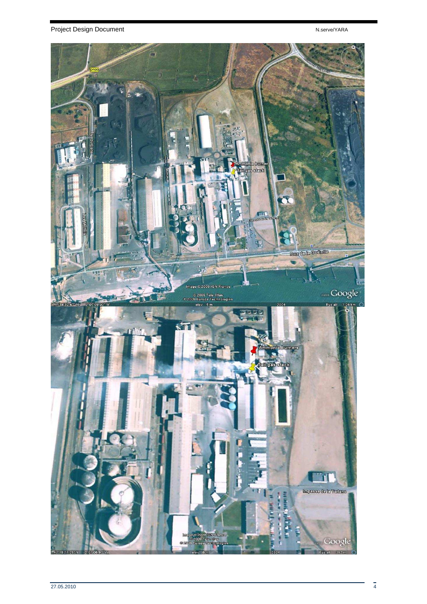#### Project Design Document National According to the National According National According National According National According National According National According National According National According National According N

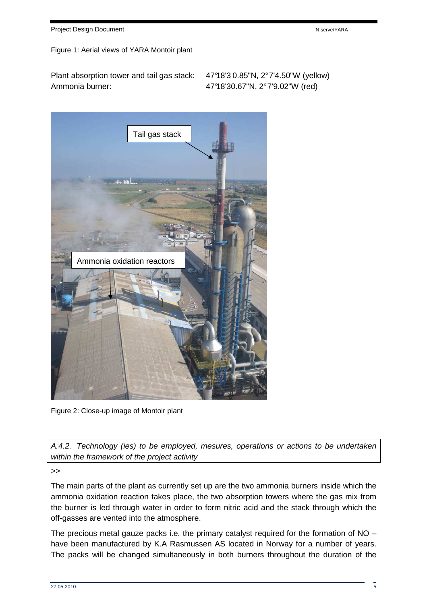Figure 1: Aerial views of YARA Montoir plant

Plant absorption tower and tail gas stack: 47°18'3 0.85"N, 2° 7'4.50"W (yellow) Ammonia burner: 47°18'30.67"N, 2° 7'9.02"W (red)



Figure 2: Close-up image of Montoir plant

A.4.2. Technology (ies) to be employed, mesures, operations or actions to be undertaken within the framework of the project activity

>>

The main parts of the plant as currently set up are the two ammonia burners inside which the ammonia oxidation reaction takes place, the two absorption towers where the gas mix from the burner is led through water in order to form nitric acid and the stack through which the off-gasses are vented into the atmosphere.

The precious metal gauze packs i.e. the primary catalyst required for the formation of NO – have been manufactured by K.A Rasmussen AS located in Norway for a number of years. The packs will be changed simultaneously in both burners throughout the duration of the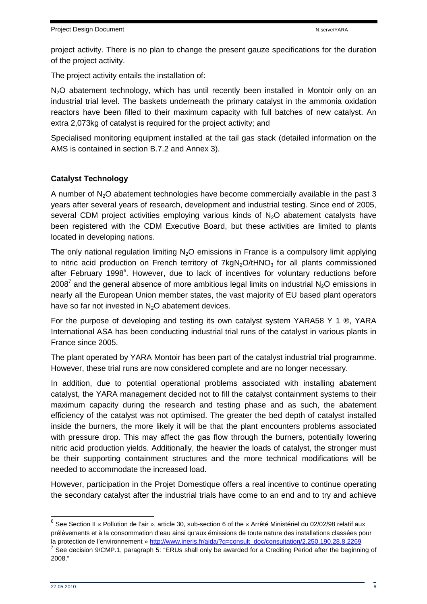project activity. There is no plan to change the present gauze specifications for the duration of the project activity.

The project activity entails the installation of:

 $N<sub>2</sub>O$  abatement technology, which has until recently been installed in Montoir only on an industrial trial level. The baskets underneath the primary catalyst in the ammonia oxidation reactors have been filled to their maximum capacity with full batches of new catalyst. An extra 2,073kg of catalyst is required for the project activity; and

Specialised monitoring equipment installed at the tail gas stack (detailed information on the AMS is contained in section B.7.2 and Annex 3).

# **Catalyst Technology**

A number of  $N<sub>2</sub>O$  abatement technologies have become commercially available in the past 3 years after several years of research, development and industrial testing. Since end of 2005, several CDM project activities employing various kinds of  $N<sub>2</sub>O$  abatement catalysts have been registered with the CDM Executive Board, but these activities are limited to plants located in developing nations.

The only national regulation limiting  $N_2O$  emissions in France is a compulsory limit applying to nitric acid production on French territory of  $7kgN<sub>2</sub>O/tHNO<sub>3</sub>$  for all plants commissioned after February 1998<sup>6</sup>. However, due to lack of incentives for voluntary reductions before 2008<sup>7</sup> and the general absence of more ambitious legal limits on industrial N<sub>2</sub>O emissions in nearly all the European Union member states, the vast majority of EU based plant operators have so far not invested in  $N_2O$  abatement devices.

For the purpose of developing and testing its own catalyst system YARA58 Y 1 ®, YARA International ASA has been conducting industrial trial runs of the catalyst in various plants in France since 2005.

The plant operated by YARA Montoir has been part of the catalyst industrial trial programme. However, these trial runs are now considered complete and are no longer necessary.

In addition, due to potential operational problems associated with installing abatement catalyst, the YARA management decided not to fill the catalyst containment systems to their maximum capacity during the research and testing phase and as such, the abatement efficiency of the catalyst was not optimised. The greater the bed depth of catalyst installed inside the burners, the more likely it will be that the plant encounters problems associated with pressure drop. This may affect the gas flow through the burners, potentially lowering nitric acid production yields. Additionally, the heavier the loads of catalyst, the stronger must be their supporting containment structures and the more technical modifications will be needed to accommodate the increased load.

However, participation in the Projet Domestique offers a real incentive to continue operating the secondary catalyst after the industrial trials have come to an end and to try and achieve

 6 See Section II « Pollution de l'air », article 30, sub-section 6 of the « Arrêté Ministériel du 02/02/98 relatif aux prélèvements et à la consommation d'eau ainsi qu'aux émissions de toute nature des installations classées pour la protection de l'environnement » http://www.ineris.fr/aida/?q=consult\_doc/consultation/2.250.190.28.8.2269

<sup>&</sup>lt;sup>7</sup> See decision 9/CMP.1, paragraph 5: "ERUs shall only be awarded for a Crediting Period after the beginning of 2008."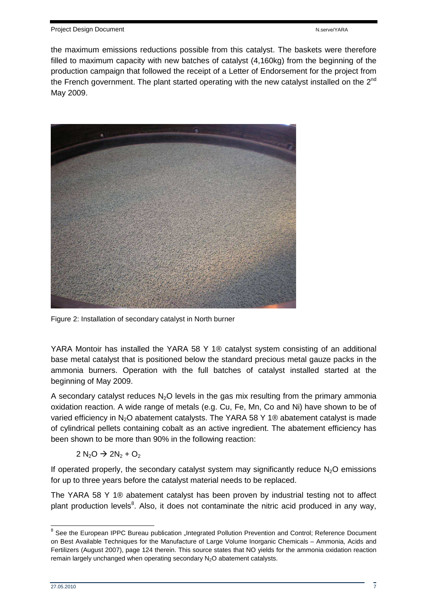#### Project Design Document N.serve/YARA

the maximum emissions reductions possible from this catalyst. The baskets were therefore filled to maximum capacity with new batches of catalyst (4,160kg) from the beginning of the production campaign that followed the receipt of a Letter of Endorsement for the project from the French government. The plant started operating with the new catalyst installed on the  $2^{nd}$ May 2009.



Figure 2: Installation of secondary catalyst in North burner

YARA Montoir has installed the YARA 58 Y 1® catalyst system consisting of an additional base metal catalyst that is positioned below the standard precious metal gauze packs in the ammonia burners. Operation with the full batches of catalyst installed started at the beginning of May 2009.

A secondary catalyst reduces  $N<sub>2</sub>O$  levels in the gas mix resulting from the primary ammonia oxidation reaction. A wide range of metals (e.g. Cu, Fe, Mn, Co and Ni) have shown to be of varied efficiency in  $N_2O$  abatement catalysts. The YARA 58 Y 1® abatement catalyst is made of cylindrical pellets containing cobalt as an active ingredient. The abatement efficiency has been shown to be more than 90% in the following reaction:

 $2 N<sub>2</sub>O \rightarrow 2N<sub>2</sub> + O<sub>2</sub>$ 

If operated properly, the secondary catalyst system may significantly reduce  $N<sub>2</sub>O$  emissions for up to three years before the catalyst material needs to be replaced.

The YARA 58 Y 1® abatement catalyst has been proven by industrial testing not to affect plant production levels<sup>8</sup>. Also, it does not contaminate the nitric acid produced in any way,

 <sup>8</sup> See the European IPPC Bureau publication "Integrated Pollution Prevention and Control; Reference Document on Best Available Techniques for the Manufacture of Large Volume Inorganic Chemicals – Ammonia, Acids and Fertilizers (August 2007), page 124 therein. This source states that NO yields for the ammonia oxidation reaction remain largely unchanged when operating secondary N<sub>2</sub>O abatement catalysts.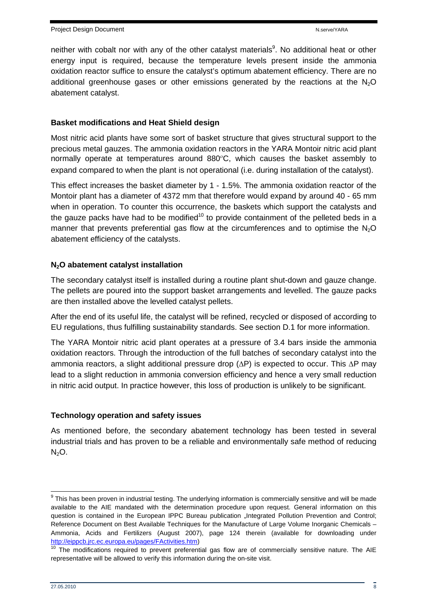neither with cobalt nor with any of the other catalyst materials<sup>9</sup>. No additional heat or other energy input is required, because the temperature levels present inside the ammonia oxidation reactor suffice to ensure the catalyst's optimum abatement efficiency. There are no additional greenhouse gases or other emissions generated by the reactions at the  $N_2O$ abatement catalyst.

### **Basket modifications and Heat Shield design**

Most nitric acid plants have some sort of basket structure that gives structural support to the precious metal gauzes. The ammonia oxidation reactors in the YARA Montoir nitric acid plant normally operate at temperatures around 880ºC, which causes the basket assembly to expand compared to when the plant is not operational (i.e. during installation of the catalyst).

This effect increases the basket diameter by 1 - 1.5%. The ammonia oxidation reactor of the Montoir plant has a diameter of 4372 mm that therefore would expand by around 40 - 65 mm when in operation. To counter this occurrence, the baskets which support the catalysts and the gauze packs have had to be modified<sup>10</sup> to provide containment of the pelleted beds in a manner that prevents preferential gas flow at the circumferences and to optimise the  $N_2O$ abatement efficiency of the catalysts.

# **N2O abatement catalyst installation**

The secondary catalyst itself is installed during a routine plant shut-down and gauze change. The pellets are poured into the support basket arrangements and levelled. The gauze packs are then installed above the levelled catalyst pellets.

After the end of its useful life, the catalyst will be refined, recycled or disposed of according to EU regulations, thus fulfilling sustainability standards. See section D.1 for more information.

The YARA Montoir nitric acid plant operates at a pressure of 3.4 bars inside the ammonia oxidation reactors. Through the introduction of the full batches of secondary catalyst into the ammonia reactors, a slight additional pressure drop (∆P) is expected to occur. This ∆P may lead to a slight reduction in ammonia conversion efficiency and hence a very small reduction in nitric acid output. In practice however, this loss of production is unlikely to be significant.

# **Technology operation and safety issues**

As mentioned before, the secondary abatement technology has been tested in several industrial trials and has proven to be a reliable and environmentally safe method of reducing  $N<sub>2</sub>O$ .

 $\overline{\phantom{a}}$  $9$  This has been proven in industrial testing. The underlying information is commercially sensitive and will be made available to the AIE mandated with the determination procedure upon request. General information on this question is contained in the European IPPC Bureau publication ..Integrated Pollution Prevention and Control; Reference Document on Best Available Techniques for the Manufacture of Large Volume Inorganic Chemicals – Ammonia, Acids and Fertilizers (August 2007), page 124 therein (available for downloading under http://eippcb.jrc.ec.europa.eu/pages/FActivities.htm)

 $10$  The modifications required to prevent preferential gas flow are of commercially sensitive nature. The AIE representative will be allowed to verify this information during the on-site visit.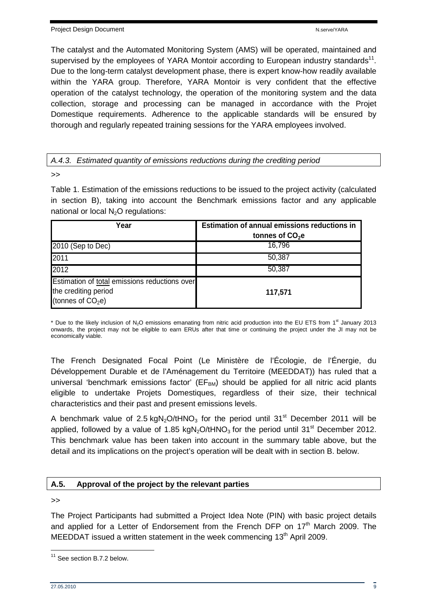The catalyst and the Automated Monitoring System (AMS) will be operated, maintained and supervised by the employees of YARA Montoir according to European industry standards $^{11}$ . Due to the long-term catalyst development phase, there is expert know-how readily available within the YARA group. Therefore, YARA Montoir is very confident that the effective operation of the catalyst technology, the operation of the monitoring system and the data collection, storage and processing can be managed in accordance with the Projet Domestique requirements. Adherence to the applicable standards will be ensured by thorough and regularly repeated training sessions for the YARA employees involved.

### A.4.3. Estimated quantity of emissions reductions during the crediting period

>>

Table 1. Estimation of the emissions reductions to be issued to the project activity (calculated in section B), taking into account the Benchmark emissions factor and any applicable national or local  $N_2O$  regulations:

| Year                                                                                         | <b>Estimation of annual emissions reductions in</b><br>tonnes of $CO2e$ |
|----------------------------------------------------------------------------------------------|-------------------------------------------------------------------------|
| 2010 (Sep to Dec)                                                                            | 16,796                                                                  |
| 2011                                                                                         | 50,387                                                                  |
| 2012                                                                                         | 50,387                                                                  |
| Estimation of total emissions reductions over<br>the crediting period<br>(tonnes of $CO2e$ ) | 117,571                                                                 |

\* Due to the likely inclusion of N<sub>2</sub>O emissions emanating from nitric acid production into the EU ETS from 1<sup>st</sup> January 2013 onwards, the project may not be eligible to earn ERUs after that time or continuing the project under the JI may not be economically viable.

The French Designated Focal Point (Le Ministère de l'Écologie, de l'Énergie, du Développement Durable et de l'Aménagement du Territoire (MEEDDAT)) has ruled that a universal 'benchmark emissions factor' ( $EF<sub>BM</sub>$ ) should be applied for all nitric acid plants eligible to undertake Projets Domestiques, regardless of their size, their technical characteristics and their past and present emissions levels.

A benchmark value of 2.5 kgN<sub>2</sub>O/tHNO<sub>3</sub> for the period until 31<sup>st</sup> December 2011 will be applied, followed by a value of 1.85 kgN<sub>2</sub>O/tHNO<sub>3</sub> for the period until 31<sup>st</sup> December 2012. This benchmark value has been taken into account in the summary table above, but the detail and its implications on the project's operation will be dealt with in section B. below.

# **A.5. Approval of the project by the relevant parties**

>>

The Project Participants had submitted a Project Idea Note (PIN) with basic project details and applied for a Letter of Endorsement from the French DFP on  $17<sup>th</sup>$  March 2009. The MEEDDAT issued a written statement in the week commencing  $13<sup>th</sup>$  April 2009.

 <sup>11</sup> See section B.7.2 below.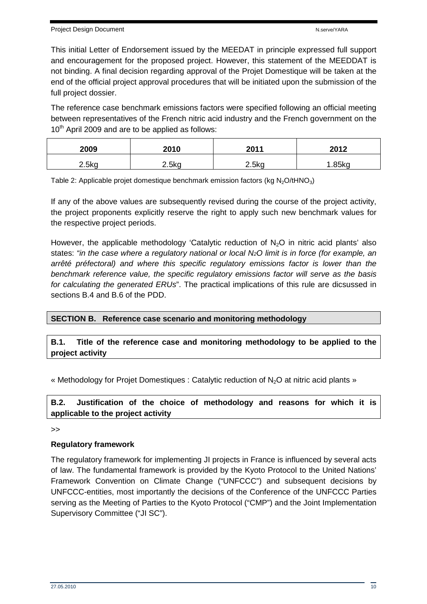This initial Letter of Endorsement issued by the MEEDAT in principle expressed full support and encouragement for the proposed project. However, this statement of the MEEDDAT is not binding. A final decision regarding approval of the Projet Domestique will be taken at the end of the official project approval procedures that will be initiated upon the submission of the full project dossier.

The reference case benchmark emissions factors were specified following an official meeting between representatives of the French nitric acid industry and the French government on the  $10<sup>th</sup>$  April 2009 and are to be applied as follows:

| 2009              | 2010  | 2011  | 2012             |
|-------------------|-------|-------|------------------|
| 2.5 <sub>kq</sub> | 2.5kg | 2.5kg | R5k <sub>0</sub> |

Table 2: Applicable projet domestique benchmark emission factors (kg  $N_2O/tHNO_3$ )

If any of the above values are subsequently revised during the course of the project activity, the project proponents explicitly reserve the right to apply such new benchmark values for the respective project periods.

However, the applicable methodology 'Catalytic reduction of  $N<sub>2</sub>O$  in nitric acid plants' also states: "in the case where a regulatory national or local N<sub>2</sub>O limit is in force (for example, an arrêté préfectoral) and where this specific regulatory emissions factor is lower than the benchmark reference value, the specific regulatory emissions factor will serve as the basis for calculating the generated ERUs". The practical implications of this rule are dicsussed in sections B.4 and B.6 of the PDD.

| SECTION B. Reference case scenario and monitoring methodology |  |  |
|---------------------------------------------------------------|--|--|
|                                                               |  |  |

**B.1. Title of the reference case and monitoring methodology to be applied to the project activity** 

« Methodology for Projet Domestiques : Catalytic reduction of  $N_2O$  at nitric acid plants »

### **B.2. Justification of the choice of methodology and reasons for which it is applicable to the project activity**

>>

### **Regulatory framework**

The regulatory framework for implementing JI projects in France is influenced by several acts of law. The fundamental framework is provided by the Kyoto Protocol to the United Nations' Framework Convention on Climate Change ("UNFCCC") and subsequent decisions by UNFCCC-entities, most importantly the decisions of the Conference of the UNFCCC Parties serving as the Meeting of Parties to the Kyoto Protocol ("CMP") and the Joint Implementation Supervisory Committee ("JI SC").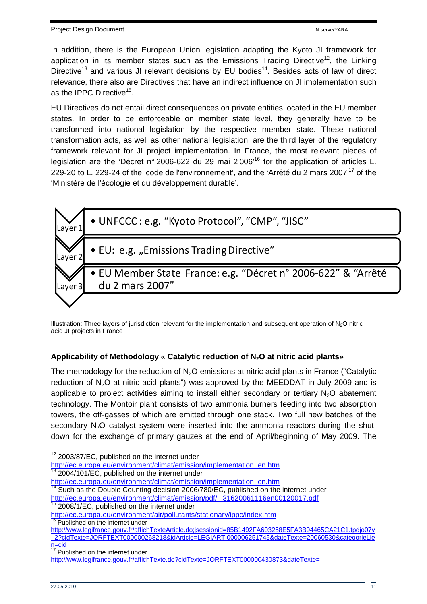In addition, there is the European Union legislation adapting the Kyoto JI framework for application in its member states such as the Emissions Trading Directive<sup>12</sup>, the Linking Directive<sup>13</sup> and various JI relevant decisions by EU bodies<sup>14</sup>. Besides acts of law of direct relevance, there also are Directives that have an indirect influence on JI implementation such as the IPPC Directive<sup>15</sup>.

EU Directives do not entail direct consequences on private entities located in the EU member states. In order to be enforceable on member state level, they generally have to be transformed into national legislation by the respective member state. These national transformation acts, as well as other national legislation, are the third layer of the regulatory framework relevant for JI project implementation. In France, the most relevant pieces of legislation are the 'Décret n° 2006-622 du 29 mai 2 006'<sup>16</sup> for the application of articles L. 229-20 to L. 229-24 of the 'code de l'environnement', and the 'Arrêté du 2 mars 2007'<sup>17</sup> of the 'Ministère de l'écologie et du développement durable'.



Illustration: Three layers of jurisdiction relevant for the implementation and subsequent operation of  $N_2O$  nitric acid JI projects in France

# **Applicability of Methodology « Catalytic reduction of N2O at nitric acid plants»**

The methodology for the reduction of  $N<sub>2</sub>O$  emissions at nitric acid plants in France ("Catalytic reduction of  $N_2O$  at nitric acid plants") was approved by the MEEDDAT in July 2009 and is applicable to project activities aiming to install either secondary or tertiary  $N<sub>2</sub>O$  abatement technology. The Montoir plant consists of two ammonia burners feeding into two absorption towers, the off-gasses of which are emitted through one stack. Two full new batches of the secondary  $N<sub>2</sub>O$  catalyst system were inserted into the ammonia reactors during the shutdown for the exchange of primary gauzes at the end of April/beginning of May 2009. The

http://ec.europa.eu/environment/climat/emission/implementation\_en.htm 2004/101/EC, published on the internet under

 $14$  Such as the Double Counting decision 2006/780/EC, published on the internet under http://ec.europa.eu/environment/climat/emission/pdf/l\_31620061116en00120017.pdf

<sup>15</sup> 2008/1/EC, published on the internet under http://ec.europa.eu/environment/air/pollutants/stationary/ippc/index.htm <sup>16</sup> Published on the internet under

http://www.legifrance.gouv.fr/affichTexteArticle.do;jsessionid=85B1492FA603258E5FA3B94465CA21C1.tpdjo07v \_2?cidTexte=JORFTEXT000000268218&idArticle=LEGIARTI000006251745&dateTexte=20060530&categorieLie  $n = \frac{1}{17}$ 

<sup>&</sup>lt;sup>12</sup> 2003/87/EC, published on the internet under

http://ec.europa.eu/environment/climat/emission/implementation\_en.htm

Published on the internet under

http://www.legifrance.gouv.fr/affichTexte.do?cidTexte=JORFTEXT000000430873&dateTexte=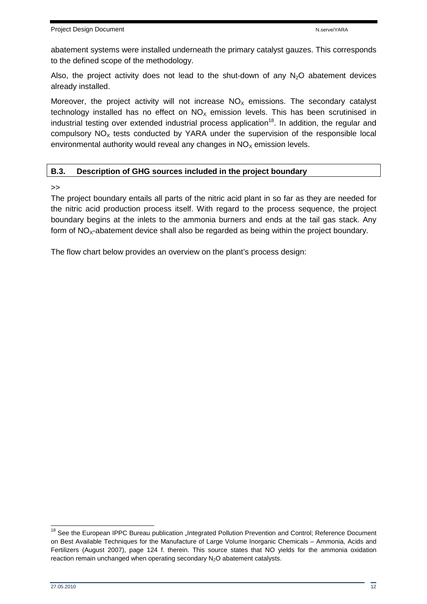abatement systems were installed underneath the primary catalyst gauzes. This corresponds to the defined scope of the methodology.

Also, the project activity does not lead to the shut-down of any  $N<sub>2</sub>O$  abatement devices already installed.

Moreover, the project activity will not increase  $NO<sub>x</sub>$  emissions. The secondary catalyst technology installed has no effect on  $NO<sub>x</sub>$  emission levels. This has been scrutinised in industrial testing over extended industrial process application<sup>18</sup>. In addition, the regular and compulsory  $NO<sub>x</sub>$  tests conducted by YARA under the supervision of the responsible local environmental authority would reveal any changes in  $NO<sub>x</sub>$  emission levels.

# **B.3. Description of GHG sources included in the project boundary**

>>

The project boundary entails all parts of the nitric acid plant in so far as they are needed for the nitric acid production process itself. With regard to the process sequence, the project boundary begins at the inlets to the ammonia burners and ends at the tail gas stack. Any form of  $NO<sub>X</sub>$ -abatement device shall also be regarded as being within the project boundary.

The flow chart below provides an overview on the plant's process design:

<sup>&</sup>lt;sup>18</sup> See the European IPPC Bureau publication "Integrated Pollution Prevention and Control; Reference Document on Best Available Techniques for the Manufacture of Large Volume Inorganic Chemicals – Ammonia, Acids and Fertilizers (August 2007), page 124 f. therein. This source states that NO yields for the ammonia oxidation reaction remain unchanged when operating secondary N<sub>2</sub>O abatement catalysts.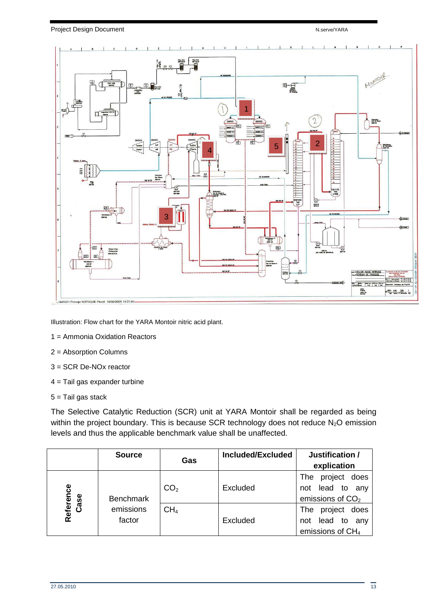

Illustration: Flow chart for the YARA Montoir nitric acid plant.

- 1 = Ammonia Oxidation Reactors
- 2 = Absorption Columns
- 3 = SCR De-NOx reactor
- 4 = Tail gas expander turbine
- $5 =$ Tail gas stack

The Selective Catalytic Reduction (SCR) unit at YARA Montoir shall be regarded as being within the project boundary. This is because SCR technology does not reduce  $N_2O$  emission levels and thus the applicable benchmark value shall be unaffected.

|                   | <b>Source</b>       | Gas             | Included/Excluded | Justification /<br>explication                                                     |
|-------------------|---------------------|-----------------|-------------------|------------------------------------------------------------------------------------|
| Reference<br>Case | <b>Benchmark</b>    | CO <sub>2</sub> | Excluded          | project<br>does<br>The<br>lead to<br>any<br>not<br>emissions of CO <sub>2</sub>    |
|                   | emissions<br>factor | CH <sub>4</sub> | Excluded          | project<br>does<br>The<br>to<br>lead<br>any<br>not<br>emissions of CH <sub>4</sub> |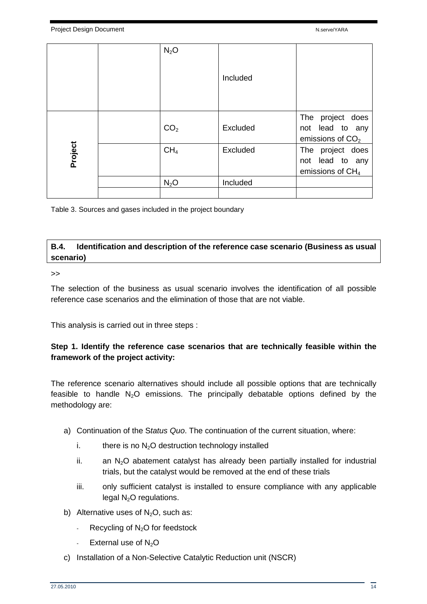| The project does<br>not lead to any<br>emissions of $CO2$ |
|-----------------------------------------------------------|
| The project does<br>not lead to any<br>emissions of $CH4$ |
|                                                           |
|                                                           |

Table 3. Sources and gases included in the project boundary

### **B.4. Identification and description of the reference case scenario (Business as usual scenario)**

#### >>

The selection of the business as usual scenario involves the identification of all possible reference case scenarios and the elimination of those that are not viable.

This analysis is carried out in three steps :

#### **Step 1. Identify the reference case scenarios that are technically feasible within the framework of the project activity:**

The reference scenario alternatives should include all possible options that are technically feasible to handle  $N_2O$  emissions. The principally debatable options defined by the methodology are:

- a) Continuation of the Status Quo. The continuation of the current situation, where:
	- i. there is no  $N<sub>2</sub>O$  destruction technology installed
	- $ii.$  an N<sub>2</sub>O abatement catalyst has already been partially installed for industrial trials, but the catalyst would be removed at the end of these trials
	- iii. only sufficient catalyst is installed to ensure compliance with any applicable legal  $N_2O$  regulations.
- b) Alternative uses of  $N_2O$ , such as:
	- Recycling of  $N_2O$  for feedstock
	- External use of  $N<sub>2</sub>O$
- c) Installation of a Non-Selective Catalytic Reduction unit (NSCR)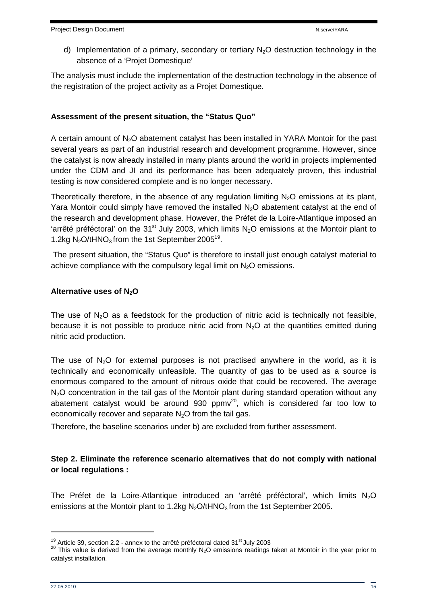d) Implementation of a primary, secondary or tertiary  $N_2O$  destruction technology in the absence of a 'Projet Domestique'

The analysis must include the implementation of the destruction technology in the absence of the registration of the project activity as a Projet Domestique.

### **Assessment of the present situation, the "Status Quo"**

A certain amount of  $N_2O$  abatement catalyst has been installed in YARA Montoir for the past several years as part of an industrial research and development programme. However, since the catalyst is now already installed in many plants around the world in projects implemented under the CDM and JI and its performance has been adequately proven, this industrial testing is now considered complete and is no longer necessary.

Theoretically therefore, in the absence of any regulation limiting  $N<sub>2</sub>O$  emissions at its plant, Yara Montoir could simply have removed the installed  $N_2O$  abatement catalyst at the end of the research and development phase. However, the Préfet de la Loire-Atlantique imposed an 'arrêté préféctoral' on the 31<sup>st</sup> July 2003, which limits N<sub>2</sub>O emissions at the Montoir plant to 1.2kg  $N_2O/tHNO_3$  from the 1st September 2005<sup>19</sup>.

 The present situation, the "Status Quo" is therefore to install just enough catalyst material to achieve compliance with the compulsory legal limit on  $N<sub>2</sub>O$  emissions.

### **Alternative uses of N2O**

The use of  $N_2O$  as a feedstock for the production of nitric acid is technically not feasible, because it is not possible to produce nitric acid from  $N<sub>2</sub>O$  at the quantities emitted during nitric acid production.

The use of  $N<sub>2</sub>O$  for external purposes is not practised anywhere in the world, as it is technically and economically unfeasible. The quantity of gas to be used as a source is enormous compared to the amount of nitrous oxide that could be recovered. The average  $N<sub>2</sub>O$  concentration in the tail gas of the Montoir plant during standard operation without any abatement catalyst would be around  $930$  ppm $v^{20}$ , which is considered far too low to economically recover and separate  $N<sub>2</sub>O$  from the tail gas.

Therefore, the baseline scenarios under b) are excluded from further assessment.

### **Step 2. Eliminate the reference scenario alternatives that do not comply with national or local regulations :**

The Préfet de la Loire-Atlantique introduced an 'arrêté préféctoral', which limits  $N_2O$ emissions at the Montoir plant to 1.2kg  $N_2O/tHNO_3$  from the 1st September 2005.

 $19$  Article 39, section 2.2 - annex to the arrêté préféctoral dated 31 $\mathrm{st}$  July 2003

<sup>&</sup>lt;sup>20</sup> This value is derived from the average monthly N<sub>2</sub>O emissions readings taken at Montoir in the year prior to catalyst installation.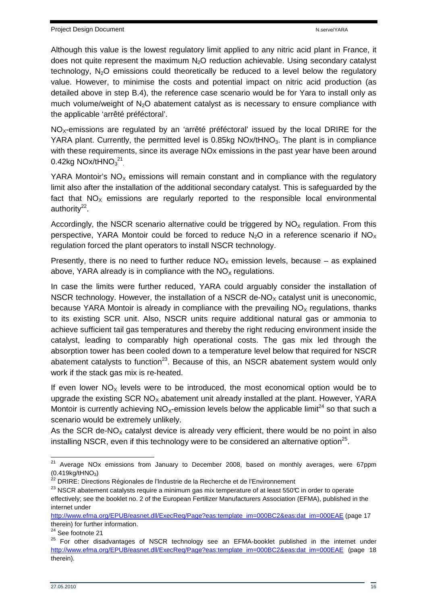Although this value is the lowest regulatory limit applied to any nitric acid plant in France, it does not quite represent the maximum  $N<sub>2</sub>O$  reduction achievable. Using secondary catalyst technology,  $N_2O$  emissions could theoretically be reduced to a level below the regulatory value. However, to minimise the costs and potential impact on nitric acid production (as detailed above in step B.4), the reference case scenario would be for Yara to install only as much volume/weight of  $N_2O$  abatement catalyst as is necessary to ensure compliance with the applicable 'arrêté préféctoral'.

 $NO<sub>x</sub>$ -emissions are regulated by an 'arrêté préféctoral' issued by the local DRIRE for the YARA plant. Currently, the permitted level is  $0.85kg$  NOx/tHNO<sub>3</sub>. The plant is in compliance with these requirements, since its average NOx emissions in the past year have been around 0.42 $kg$  NOx/tHNO $_3^{21}$ 

YARA Montoir's  $NO<sub>x</sub>$  emissions will remain constant and in compliance with the regulatory limit also after the installation of the additional secondary catalyst. This is safeguarded by the fact that  $NO<sub>x</sub>$  emissions are regularly reported to the responsible local environmental authority<sup>22</sup>.

Accordingly, the NSCR scenario alternative could be triggered by  $NO<sub>x</sub>$  regulation. From this perspective, YARA Montoir could be forced to reduce  $N_2O$  in a reference scenario if  $NO_x$ regulation forced the plant operators to install NSCR technology.

Presently, there is no need to further reduce  $NO<sub>x</sub>$  emission levels, because – as explained above, YARA already is in compliance with the  $NO<sub>x</sub>$  regulations.

In case the limits were further reduced, YARA could arguably consider the installation of NSCR technology. However, the installation of a NSCR de-NO<sub>x</sub> catalyst unit is uneconomic, because YARA Montoir is already in compliance with the prevailing  $NO<sub>x</sub>$  regulations, thanks to its existing SCR unit. Also, NSCR units require additional natural gas or ammonia to achieve sufficient tail gas temperatures and thereby the right reducing environment inside the catalyst, leading to comparably high operational costs. The gas mix led through the absorption tower has been cooled down to a temperature level below that required for NSCR abatement catalysts to function $^{23}$ . Because of this, an NSCR abatement system would only work if the stack gas mix is re-heated.

If even lower  $NO<sub>x</sub>$  levels were to be introduced, the most economical option would be to upgrade the existing  $SCR NO<sub>x</sub>$  abatement unit already installed at the plant. However, YARA Montoir is currently achieving  $NO_x$ -emission levels below the applicable limit<sup>24</sup> so that such a scenario would be extremely unlikely.

As the SCR de-NO<sub>x</sub> catalyst device is already very efficient, there would be no point in also installing NSCR, even if this technology were to be considered an alternative option<sup>25</sup>.

 $\overline{a}$  $21$  Average NOx emissions from January to December 2008, based on monthly averages, were 67ppm  $(0.419$ kg/t $HNO<sub>3</sub>)$ 

 $22$  DRIRE: Directions Régionales de l'Industrie de la Recherche et de l'Environnement

 $^{23}$  NSCR abatement catalysts require a minimum gas mix temperature of at least 550°C in order to operate effectively; see the booklet no. 2 of the European Fertilizer Manufacturers Association (EFMA), published in the internet under

http://www.efma.org/EPUB/easnet.dll/ExecReq/Page?eas:template\_im=000BC2&eas:dat\_im=000EAE (page 17 therein) for further information.

<sup>&</sup>lt;sup>24</sup> See footnote 21

<sup>&</sup>lt;sup>25</sup> For other disadvantages of NSCR technology see an EFMA-booklet published in the internet under http://www.efma.org/EPUB/easnet.dll/ExecReq/Page?eas:template\_im=000BC2&eas:dat\_im=000EAE (page 18 therein).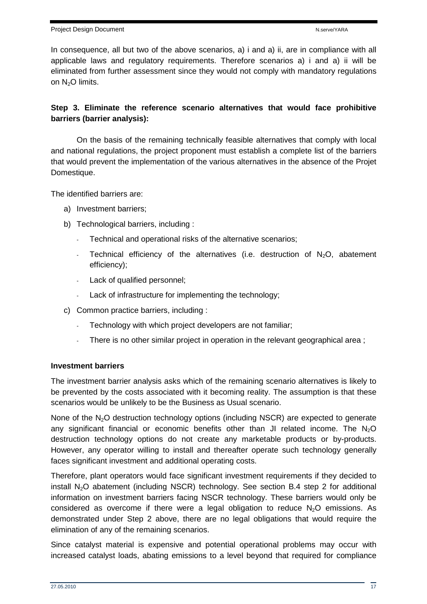In consequence, all but two of the above scenarios, a) i and a) ii, are in compliance with all applicable laws and regulatory requirements. Therefore scenarios a) i and a) ii will be eliminated from further assessment since they would not comply with mandatory regulations on  $N_2O$  limits.

# **Step 3. Eliminate the reference scenario alternatives that would face prohibitive barriers (barrier analysis):**

On the basis of the remaining technically feasible alternatives that comply with local and national regulations, the project proponent must establish a complete list of the barriers that would prevent the implementation of the various alternatives in the absence of the Projet Domestique.

The identified barriers are:

- a) Investment barriers;
- b) Technological barriers, including :
	- Technical and operational risks of the alternative scenarios;
	- Technical efficiency of the alternatives (i.e. destruction of  $N_2O$ , abatement efficiency);
	- Lack of qualified personnel;
	- Lack of infrastructure for implementing the technology;
- c) Common practice barriers, including :
	- Technology with which project developers are not familiar;
	- There is no other similar project in operation in the relevant geographical area;

#### **Investment barriers**

The investment barrier analysis asks which of the remaining scenario alternatives is likely to be prevented by the costs associated with it becoming reality. The assumption is that these scenarios would be unlikely to be the Business as Usual scenario.

None of the  $N_2O$  destruction technology options (including NSCR) are expected to generate any significant financial or economic benefits other than JI related income. The  $N_2O$ destruction technology options do not create any marketable products or by-products. However, any operator willing to install and thereafter operate such technology generally faces significant investment and additional operating costs.

Therefore, plant operators would face significant investment requirements if they decided to install  $N_2O$  abatement (including NSCR) technology. See section B.4 step 2 for additional information on investment barriers facing NSCR technology. These barriers would only be considered as overcome if there were a legal obligation to reduce  $N_2O$  emissions. As demonstrated under Step 2 above, there are no legal obligations that would require the elimination of any of the remaining scenarios.

Since catalyst material is expensive and potential operational problems may occur with increased catalyst loads, abating emissions to a level beyond that required for compliance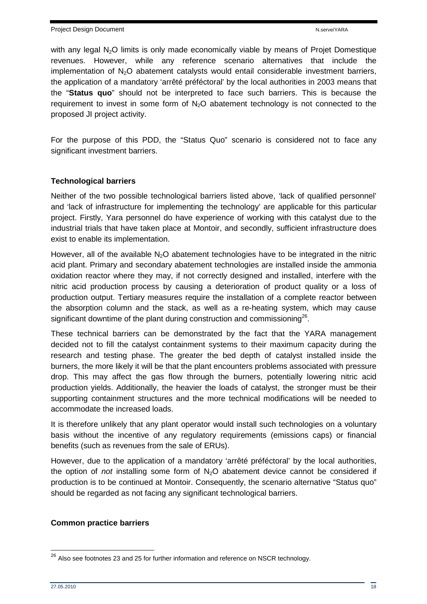with any legal  $N<sub>2</sub>O$  limits is only made economically viable by means of Projet Domestique revenues. However, while any reference scenario alternatives that include the implementation of  $N<sub>2</sub>O$  abatement catalysts would entail considerable investment barriers, the application of a mandatory 'arrêté préféctoral' by the local authorities in 2003 means that the "**Status quo**" should not be interpreted to face such barriers. This is because the requirement to invest in some form of  $N<sub>2</sub>O$  abatement technology is not connected to the proposed JI project activity.

For the purpose of this PDD, the "Status Quo" scenario is considered not to face any significant investment barriers.

### **Technological barriers**

Neither of the two possible technological barriers listed above, 'lack of qualified personnel' and 'lack of infrastructure for implementing the technology' are applicable for this particular project. Firstly, Yara personnel do have experience of working with this catalyst due to the industrial trials that have taken place at Montoir, and secondly, sufficient infrastructure does exist to enable its implementation.

However, all of the available  $N_2O$  abatement technologies have to be integrated in the nitric acid plant. Primary and secondary abatement technologies are installed inside the ammonia oxidation reactor where they may, if not correctly designed and installed, interfere with the nitric acid production process by causing a deterioration of product quality or a loss of production output. Tertiary measures require the installation of a complete reactor between the absorption column and the stack, as well as a re-heating system, which may cause significant downtime of the plant during construction and commissioning<sup>26</sup>.

These technical barriers can be demonstrated by the fact that the YARA management decided not to fill the catalyst containment systems to their maximum capacity during the research and testing phase. The greater the bed depth of catalyst installed inside the burners, the more likely it will be that the plant encounters problems associated with pressure drop. This may affect the gas flow through the burners, potentially lowering nitric acid production yields. Additionally, the heavier the loads of catalyst, the stronger must be their supporting containment structures and the more technical modifications will be needed to accommodate the increased loads.

It is therefore unlikely that any plant operator would install such technologies on a voluntary basis without the incentive of any regulatory requirements (emissions caps) or financial benefits (such as revenues from the sale of ERUs).

However, due to the application of a mandatory 'arrêté préféctoral' by the local authorities, the option of *not* installing some form of  $N<sub>2</sub>O$  abatement device cannot be considered if production is to be continued at Montoir. Consequently, the scenario alternative "Status quo" should be regarded as not facing any significant technological barriers.

### **Common practice barriers**

 $\overline{\phantom{a}}$  $^{26}$  Also see footnotes 23 and 25 for further information and reference on NSCR technology.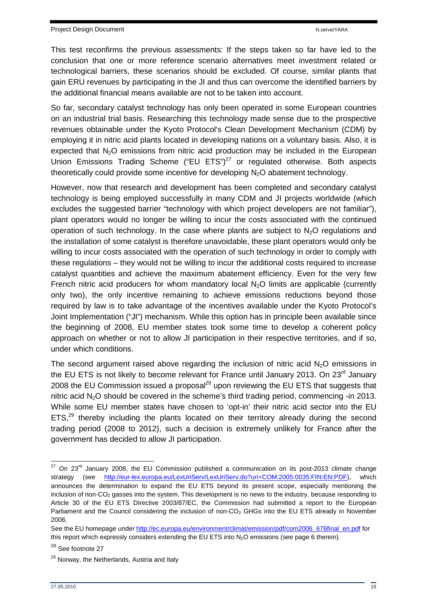This test reconfirms the previous assessments: If the steps taken so far have led to the conclusion that one or more reference scenario alternatives meet investment related or technological barriers, these scenarios should be excluded. Of course, similar plants that gain ERU revenues by participating in the JI and thus can overcome the identified barriers by the additional financial means available are not to be taken into account.

So far, secondary catalyst technology has only been operated in some European countries on an industrial trial basis. Researching this technology made sense due to the prospective revenues obtainable under the Kyoto Protocol's Clean Development Mechanism (CDM) by employing it in nitric acid plants located in developing nations on a voluntary basis. Also, it is expected that  $N<sub>2</sub>O$  emissions from nitric acid production may be included in the European Union Emissions Trading Scheme ("EU ETS") $^{27}$  or regulated otherwise. Both aspects theoretically could provide some incentive for developing  $N_2O$  abatement technology.

However, now that research and development has been completed and secondary catalyst technology is being employed successfully in many CDM and JI projects worldwide (which excludes the suggested barrier "technology with which project developers are not familiar"), plant operators would no longer be willing to incur the costs associated with the continued operation of such technology. In the case where plants are subject to  $N_2O$  regulations and the installation of some catalyst is therefore unavoidable, these plant operators would only be willing to incur costs associated with the operation of such technology in order to comply with these regulations – they would not be willing to incur the additional costs required to increase catalyst quantities and achieve the maximum abatement efficiency. Even for the very few French nitric acid producers for whom mandatory local  $N_2O$  limits are applicable (currently only two), the only incentive remaining to achieve emissions reductions beyond those required by law is to take advantage of the incentives available under the Kyoto Protocol's Joint Implementation ("JI") mechanism. While this option has in principle been available since the beginning of 2008, EU member states took some time to develop a coherent policy approach on whether or not to allow JI participation in their respective territories, and if so, under which conditions.

The second argument raised above regarding the inclusion of nitric acid  $N_2O$  emissions in the EU ETS is not likely to become relevant for France until January 2013. On 23<sup>rd</sup> January 2008 the EU Commission issued a proposal<sup>28</sup> upon reviewing the EU ETS that suggests that nitric acid  $N_2O$  should be covered in the scheme's third trading period, commencing -in 2013. While some EU member states have chosen to 'opt-in' their nitric acid sector into the EU  $ETS<sub>1</sub><sup>29</sup>$  thereby including the plants located on their territory already during the second trading period (2008 to 2012), such a decision is extremely unlikely for France after the government has decided to allow JI participation.

 $\overline{a}$  $27$  On 23<sup>rd</sup> January 2008, the EU Commission published a communication on its post-2013 climate change strategy (see http://eur-lex.europa.eu/LexUriServ/LexUriServ.do?uri=COM:2005:0035:FIN:EN:PDF), which announces the determination to expand the EU ETS beyond its present scope, especially mentioning the inclusion of non-CO2 gasses into the system. This development is no news to the industry, because responding to Article 30 of the EU ETS Directive 2003/87/EC, the Commission had submitted a report to the European Parliament and the Council considering the inclusion of non-CO<sub>2</sub> GHGs into the EU ETS already in November 2006.

See the EU homepage under http://ec.europa.eu/environment/climat/emission/pdf/com2006\_676final\_en.pdf for this report which expressly considers extending the EU ETS into  $N_2O$  emissions (see page 6 therein).

<sup>&</sup>lt;sup>28</sup> See footnote 27

<sup>&</sup>lt;sup>29</sup> Norway, the Netherlands, Austria and Italy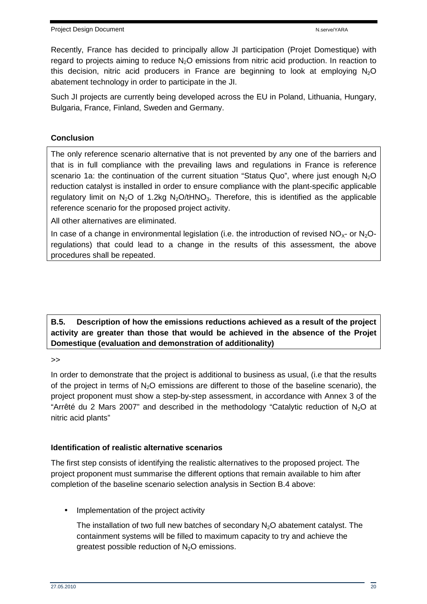Recently, France has decided to principally allow JI participation (Projet Domestique) with regard to projects aiming to reduce  $N<sub>2</sub>O$  emissions from nitric acid production. In reaction to this decision, nitric acid producers in France are beginning to look at employing  $N_2O$ abatement technology in order to participate in the JI.

Such JI projects are currently being developed across the EU in Poland, Lithuania, Hungary, Bulgaria, France, Finland, Sweden and Germany.

### **Conclusion**

The only reference scenario alternative that is not prevented by any one of the barriers and that is in full compliance with the prevailing laws and regulations in France is reference scenario 1a: the continuation of the current situation "Status Quo", where just enough  $N_2O$ reduction catalyst is installed in order to ensure compliance with the plant-specific applicable regulatory limit on  $N_2O$  of 1.2kg  $N_2O/tHNO_3$ . Therefore, this is identified as the applicable reference scenario for the proposed project activity.

All other alternatives are eliminated.

In case of a change in environmental legislation (i.e. the introduction of revised  $NO<sub>x</sub>$ - or  $N<sub>2</sub>O$ regulations) that could lead to a change in the results of this assessment, the above procedures shall be repeated.

# **B.5. Description of how the emissions reductions achieved as a result of the project activity are greater than those that would be achieved in the absence of the Projet Domestique (evaluation and demonstration of additionality)**

>>

In order to demonstrate that the project is additional to business as usual, (i.e that the results of the project in terms of  $N<sub>2</sub>O$  emissions are different to those of the baseline scenario), the project proponent must show a step-by-step assessment, in accordance with Annex 3 of the "Arrêté du 2 Mars 2007" and described in the methodology "Catalytic reduction of  $N_2O$  at nitric acid plants"

### **Identification of realistic alternative scenarios**

The first step consists of identifying the realistic alternatives to the proposed project. The project proponent must summarise the different options that remain available to him after completion of the baseline scenario selection analysis in Section B.4 above:

• Implementation of the project activity

The installation of two full new batches of secondary  $N<sub>2</sub>O$  abatement catalyst. The containment systems will be filled to maximum capacity to try and achieve the greatest possible reduction of  $N<sub>2</sub>O$  emissions.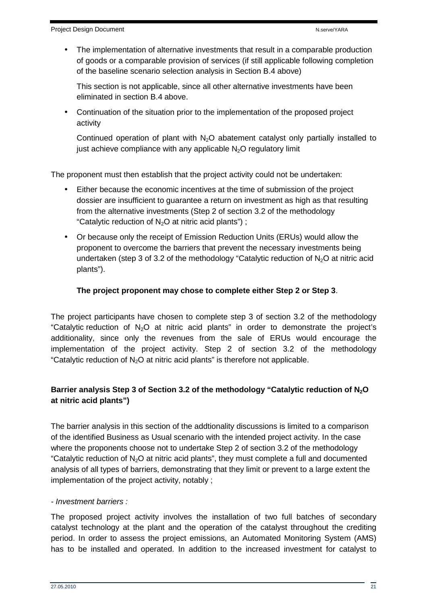• The implementation of alternative investments that result in a comparable production of goods or a comparable provision of services (if still applicable following completion of the baseline scenario selection analysis in Section B.4 above)

This section is not applicable, since all other alternative investments have been eliminated in section B.4 above.

• Continuation of the situation prior to the implementation of the proposed project activity

Continued operation of plant with  $N_2O$  abatement catalyst only partially installed to just achieve compliance with any applicable  $N<sub>2</sub>O$  regulatory limit

The proponent must then establish that the project activity could not be undertaken:

- Either because the economic incentives at the time of submission of the project dossier are insufficient to guarantee a return on investment as high as that resulting from the alternative investments (Step 2 of section 3.2 of the methodology "Catalytic reduction of  $N_2O$  at nitric acid plants");
- Or because only the receipt of Emission Reduction Units (ERUs) would allow the proponent to overcome the barriers that prevent the necessary investments being undertaken (step 3 of 3.2 of the methodology "Catalytic reduction of  $N_2O$  at nitric acid plants").

### **The project proponent may chose to complete either Step 2 or Step 3**.

The project participants have chosen to complete step 3 of section 3.2 of the methodology "Catalytic reduction of  $N_2O$  at nitric acid plants" in order to demonstrate the project's additionality, since only the revenues from the sale of ERUs would encourage the implementation of the project activity. Step 2 of section 3.2 of the methodology "Catalytic reduction of  $N_2O$  at nitric acid plants" is therefore not applicable.

# **Barrier analysis Step 3 of Section 3.2 of the methodology "Catalytic reduction of N2O at nitric acid plants")**

The barrier analysis in this section of the addtionality discussions is limited to a comparison of the identified Business as Usual scenario with the intended project activity. In the case where the proponents choose not to undertake Step 2 of section 3.2 of the methodology "Catalytic reduction of  $N_2O$  at nitric acid plants", they must complete a full and documented analysis of all types of barriers, demonstrating that they limit or prevent to a large extent the implementation of the project activity, notably ;

### - Investment barriers :

The proposed project activity involves the installation of two full batches of secondary catalyst technology at the plant and the operation of the catalyst throughout the crediting period. In order to assess the project emissions, an Automated Monitoring System (AMS) has to be installed and operated. In addition to the increased investment for catalyst to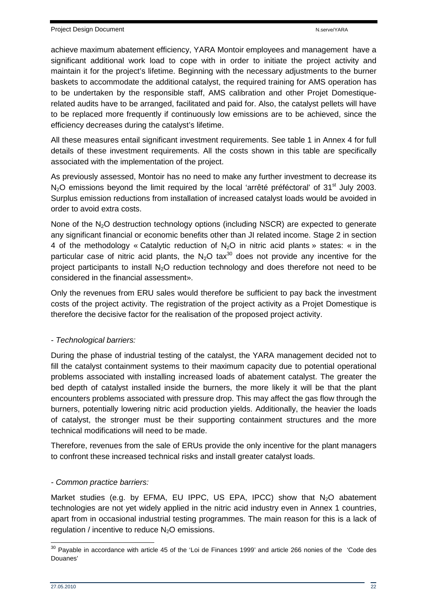achieve maximum abatement efficiency, YARA Montoir employees and management have a significant additional work load to cope with in order to initiate the project activity and maintain it for the project's lifetime. Beginning with the necessary adjustments to the burner baskets to accommodate the additional catalyst, the required training for AMS operation has to be undertaken by the responsible staff, AMS calibration and other Projet Domestiquerelated audits have to be arranged, facilitated and paid for. Also, the catalyst pellets will have to be replaced more frequently if continuously low emissions are to be achieved, since the efficiency decreases during the catalyst's lifetime.

All these measures entail significant investment requirements. See table 1 in Annex 4 for full details of these investment requirements. All the costs shown in this table are specifically associated with the implementation of the project.

As previously assessed, Montoir has no need to make any further investment to decrease its  $N<sub>2</sub>O$  emissions beyond the limit required by the local 'arrêté préféctoral' of 31<sup>st</sup> July 2003. Surplus emission reductions from installation of increased catalyst loads would be avoided in order to avoid extra costs.

None of the  $N<sub>2</sub>O$  destruction technology options (including NSCR) are expected to generate any significant financial or economic benefits other than JI related income. Stage 2 in section 4 of the methodology  $\alpha$  Catalytic reduction of N<sub>2</sub>O in nitric acid plants » states:  $\alpha$  in the particular case of nitric acid plants, the  $N_2O$  tax<sup>30</sup> does not provide any incentive for the project participants to install N<sub>2</sub>O reduction technology and does therefore not need to be considered in the financial assessment».

Only the revenues from ERU sales would therefore be sufficient to pay back the investment costs of the project activity. The registration of the project activity as a Projet Domestique is therefore the decisive factor for the realisation of the proposed project activity.

### - Technological barriers:

During the phase of industrial testing of the catalyst, the YARA management decided not to fill the catalyst containment systems to their maximum capacity due to potential operational problems associated with installing increased loads of abatement catalyst. The greater the bed depth of catalyst installed inside the burners, the more likely it will be that the plant encounters problems associated with pressure drop. This may affect the gas flow through the burners, potentially lowering nitric acid production yields. Additionally, the heavier the loads of catalyst, the stronger must be their supporting containment structures and the more technical modifications will need to be made.

Therefore, revenues from the sale of ERUs provide the only incentive for the plant managers to confront these increased technical risks and install greater catalyst loads.

### - Common practice barriers:

Market studies (e.g. by EFMA, EU IPPC, US EPA, IPCC) show that  $N_2O$  abatement technologies are not yet widely applied in the nitric acid industry even in Annex 1 countries, apart from in occasional industrial testing programmes. The main reason for this is a lack of regulation / incentive to reduce N<sub>2</sub>O emissions.

  $30$  Payable in accordance with article 45 of the 'Loi de Finances 1999' and article 266 nonies of the 'Code des Douanes'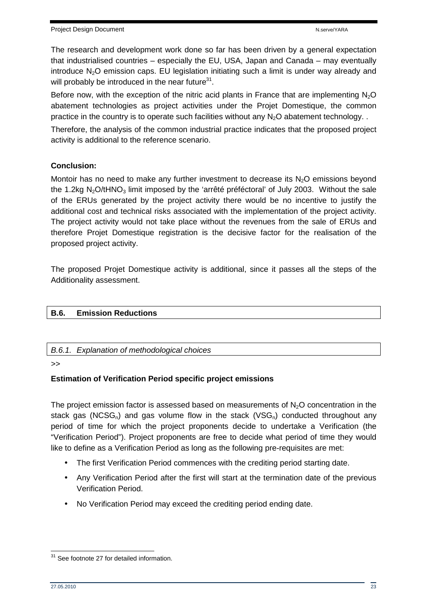The research and development work done so far has been driven by a general expectation that industrialised countries – especially the EU, USA, Japan and Canada – may eventually introduce  $N<sub>2</sub>O$  emission caps. EU legislation initiating such a limit is under way already and will probably be introduced in the near future $31$ .

Before now, with the exception of the nitric acid plants in France that are implementing  $N_2O$ abatement technologies as project activities under the Projet Domestique, the common practice in the country is to operate such facilities without any  $N<sub>2</sub>O$  abatement technology.

Therefore, the analysis of the common industrial practice indicates that the proposed project activity is additional to the reference scenario.

### **Conclusion:**

Montoir has no need to make any further investment to decrease its  $N<sub>2</sub>O$  emissions beyond the 1.2kg  $N_2O/tHNO_3$  limit imposed by the 'arrêté préféctoral' of July 2003. Without the sale of the ERUs generated by the project activity there would be no incentive to justify the additional cost and technical risks associated with the implementation of the project activity. The project activity would not take place without the revenues from the sale of ERUs and therefore Projet Domestique registration is the decisive factor for the realisation of the proposed project activity.

The proposed Projet Domestique activity is additional, since it passes all the steps of the Additionality assessment.

# **B.6. Emission Reductions**

### B.6.1. Explanation of methodological choices

>>

### **Estimation of Verification Period specific project emissions**

The project emission factor is assessed based on measurements of  $N<sub>2</sub>O$  concentration in the stack gas (NCSG<sub>n</sub>) and gas volume flow in the stack (VSG<sub>n</sub>) conducted throughout any period of time for which the project proponents decide to undertake a Verification (the "Verification Period"). Project proponents are free to decide what period of time they would like to define as a Verification Period as long as the following pre-requisites are met:

- The first Verification Period commences with the crediting period starting date.
- Any Verification Period after the first will start at the termination date of the previous Verification Period.
- No Verification Period may exceed the crediting period ending date.

 $\overline{\phantom{a}}$ <sup>31</sup> See footnote 27 for detailed information.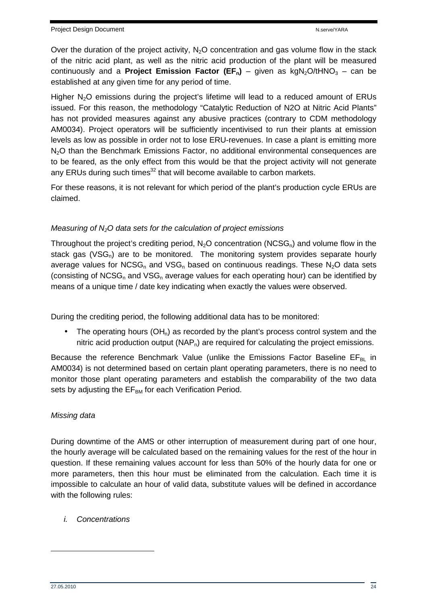Over the duration of the project activity,  $N<sub>2</sub>O$  concentration and gas volume flow in the stack of the nitric acid plant, as well as the nitric acid production of the plant will be measured continuously and a **Project Emission Factor (EF<sub>n</sub>)** – given as  $kgN<sub>2</sub>O/tHNO<sub>3</sub>$  – can be established at any given time for any period of time.

Higher  $N_2O$  emissions during the project's lifetime will lead to a reduced amount of ERUs issued. For this reason, the methodology "Catalytic Reduction of N2O at Nitric Acid Plants" has not provided measures against any abusive practices (contrary to CDM methodology AM0034). Project operators will be sufficiently incentivised to run their plants at emission levels as low as possible in order not to lose ERU-revenues. In case a plant is emitting more N<sub>2</sub>O than the Benchmark Emissions Factor, no additional environmental consequences are to be feared, as the only effect from this would be that the project activity will not generate any ERUs during such times<sup>32</sup> that will become available to carbon markets.

For these reasons, it is not relevant for which period of the plant's production cycle ERUs are claimed.

### Measuring of  $N<sub>2</sub>O$  data sets for the calculation of project emissions

Throughout the project's crediting period,  $N_2O$  concentration (NCSG<sub>n</sub>) and volume flow in the stack gas ( $VSG_n$ ) are to be monitored. The monitoring system provides separate hourly average values for NCSG<sub>n</sub> and VSG<sub>n</sub> based on continuous readings. These N<sub>2</sub>O data sets (consisting of NCSG<sub>n</sub> and VSG<sub>n</sub> average values for each operating hour) can be identified by means of a unique time / date key indicating when exactly the values were observed.

During the crediting period, the following additional data has to be monitored:

• The operating hours  $(OH_n)$  as recorded by the plant's process control system and the nitric acid production output  $(NAP_n)$  are required for calculating the project emissions.

Because the reference Benchmark Value (unlike the Emissions Factor Baseline  $EF_{BL}$  in AM0034) is not determined based on certain plant operating parameters, there is no need to monitor those plant operating parameters and establish the comparability of the two data sets by adjusting the EF<sub>BM</sub> for each Verification Period.

# Missing data

During downtime of the AMS or other interruption of measurement during part of one hour, the hourly average will be calculated based on the remaining values for the rest of the hour in question. If these remaining values account for less than 50% of the hourly data for one or more parameters, then this hour must be eliminated from the calculation. Each time it is impossible to calculate an hour of valid data, substitute values will be defined in accordance with the following rules:

i. Concentrations

 $\overline{a}$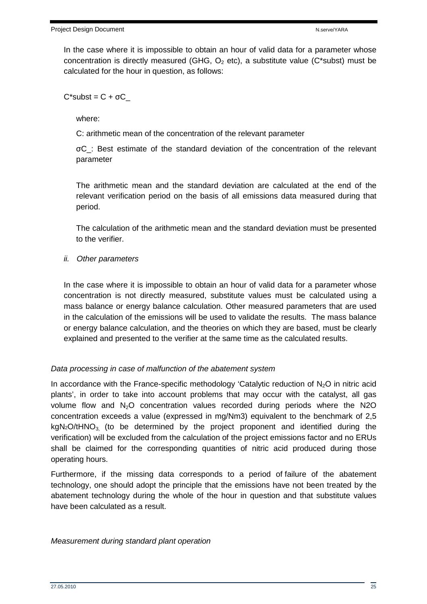In the case where it is impossible to obtain an hour of valid data for a parameter whose concentration is directly measured (GHG,  $O<sub>2</sub>$  etc), a substitute value (C\*subst) must be calculated for the hour in question, as follows:

 $C^*$ subst =  $C + \sigma C$ 

where:

C: arithmetic mean of the concentration of the relevant parameter

σC\_: Best estimate of the standard deviation of the concentration of the relevant parameter

The arithmetic mean and the standard deviation are calculated at the end of the relevant verification period on the basis of all emissions data measured during that period.

The calculation of the arithmetic mean and the standard deviation must be presented to the verifier.

#### ii. Other parameters

In the case where it is impossible to obtain an hour of valid data for a parameter whose concentration is not directly measured, substitute values must be calculated using a mass balance or energy balance calculation. Other measured parameters that are used in the calculation of the emissions will be used to validate the results. The mass balance or energy balance calculation, and the theories on which they are based, must be clearly explained and presented to the verifier at the same time as the calculated results.

### Data processing in case of malfunction of the abatement system

In accordance with the France-specific methodology 'Catalytic reduction of  $N_2O$  in nitric acid plants', in order to take into account problems that may occur with the catalyst, all gas volume flow and N2O concentration values recorded during periods where the N2O concentration exceeds a value (expressed in mg/Nm3) equivalent to the benchmark of 2,5  $kgN<sub>2</sub>O/tHNO<sub>3</sub>$  (to be determined by the project proponent and identified during the verification) will be excluded from the calculation of the project emissions factor and no ERUs shall be claimed for the corresponding quantities of nitric acid produced during those operating hours.

Furthermore, if the missing data corresponds to a period of failure of the abatement technology, one should adopt the principle that the emissions have not been treated by the abatement technology during the whole of the hour in question and that substitute values have been calculated as a result.

Measurement during standard plant operation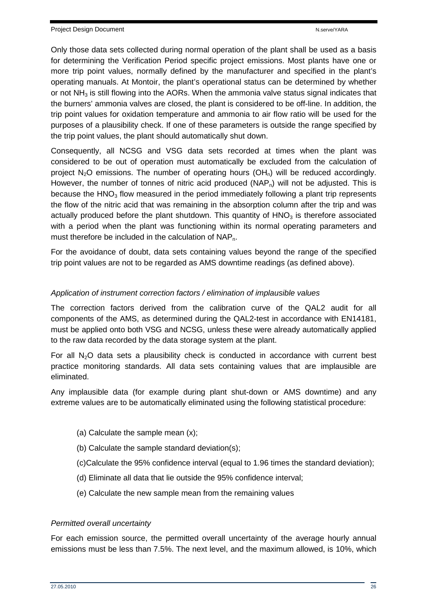Only those data sets collected during normal operation of the plant shall be used as a basis for determining the Verification Period specific project emissions. Most plants have one or more trip point values, normally defined by the manufacturer and specified in the plant's operating manuals. At Montoir, the plant's operational status can be determined by whether or not  $NH<sub>3</sub>$  is still flowing into the AORs. When the ammonia valve status signal indicates that the burners' ammonia valves are closed, the plant is considered to be off-line. In addition, the trip point values for oxidation temperature and ammonia to air flow ratio will be used for the purposes of a plausibility check. If one of these parameters is outside the range specified by the trip point values, the plant should automatically shut down.

Consequently, all NCSG and VSG data sets recorded at times when the plant was considered to be out of operation must automatically be excluded from the calculation of project  $N_2O$  emissions. The number of operating hours (OH<sub>n</sub>) will be reduced accordingly. However, the number of tonnes of nitric acid produced  $(NAP<sub>n</sub>)$  will not be adjusted. This is because the  $HNO<sub>3</sub>$  flow measured in the period immediately following a plant trip represents the flow of the nitric acid that was remaining in the absorption column after the trip and was actually produced before the plant shutdown. This quantity of  $HNO<sub>3</sub>$  is therefore associated with a period when the plant was functioning within its normal operating parameters and must therefore be included in the calculation of  $NAP_n$ .

For the avoidance of doubt, data sets containing values beyond the range of the specified trip point values are not to be regarded as AMS downtime readings (as defined above).

### Application of instrument correction factors / elimination of implausible values

The correction factors derived from the calibration curve of the QAL2 audit for all components of the AMS, as determined during the QAL2-test in accordance with EN14181, must be applied onto both VSG and NCSG, unless these were already automatically applied to the raw data recorded by the data storage system at the plant.

For all  $N_2O$  data sets a plausibility check is conducted in accordance with current best practice monitoring standards. All data sets containing values that are implausible are eliminated.

Any implausible data (for example during plant shut-down or AMS downtime) and any extreme values are to be automatically eliminated using the following statistical procedure:

- (a) Calculate the sample mean (x);
- (b) Calculate the sample standard deviation(s);
- (c)Calculate the 95% confidence interval (equal to 1.96 times the standard deviation);
- (d) Eliminate all data that lie outside the 95% confidence interval;
- (e) Calculate the new sample mean from the remaining values

# Permitted overall uncertainty

For each emission source, the permitted overall uncertainty of the average hourly annual emissions must be less than 7.5%. The next level, and the maximum allowed, is 10%, which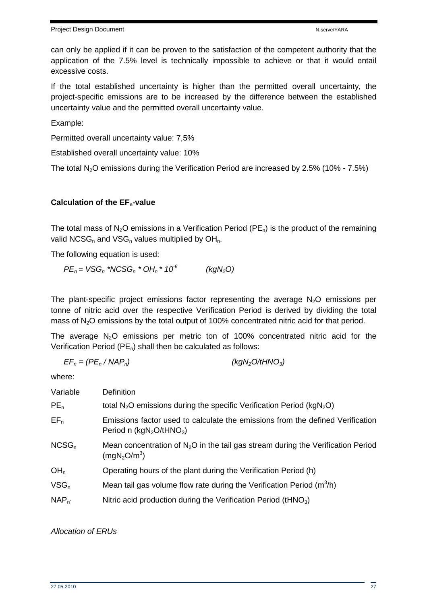can only be applied if it can be proven to the satisfaction of the competent authority that the application of the 7.5% level is technically impossible to achieve or that it would entail excessive costs.

If the total established uncertainty is higher than the permitted overall uncertainty, the project-specific emissions are to be increased by the difference between the established uncertainty value and the permitted overall uncertainty value.

Example:

Permitted overall uncertainty value: 7,5%

Established overall uncertainty value: 10%

The total  $N_2O$  emissions during the Verification Period are increased by 2.5% (10% - 7.5%)

### **Calculation of the EFn-value**

The total mass of  $N_2O$  emissions in a Verification Period (PE<sub>n</sub>) is the product of the remaining valid NCSG<sub>n</sub> and VSG<sub>n</sub> values multiplied by  $OH_n$ .

The following equation is used:

$$
PEn = VSGn * NCSGn * OHn * 106 (kgN2O)
$$

The plant-specific project emissions factor representing the average  $N_2O$  emissions per tonne of nitric acid over the respective Verification Period is derived by dividing the total mass of  $N_2O$  emissions by the total output of 100% concentrated nitric acid for that period.

The average  $N_2O$  emissions per metric ton of 100% concentrated nitric acid for the Verification Period ( $PE_n$ ) shall then be calculated as follows:

$$
EF_n = (PE_n / NAP_n)
$$
 (kgN<sub>2</sub>O/tHNO<sub>3</sub>)

where:

| Variable          | Definition                                                                                                                 |
|-------------------|----------------------------------------------------------------------------------------------------------------------------|
| PE <sub>n</sub>   | total $N_2O$ emissions during the specific Verification Period ( $kgN_2O$ )                                                |
| $EF_n$            | Emissions factor used to calculate the emissions from the defined Verification<br>Period n $(kgN_2O/tHNO_3)$               |
| NCSG <sub>n</sub> | Mean concentration of $N_2O$ in the tail gas stream during the Verification Period<br>(mgN <sub>2</sub> O/m <sup>3</sup> ) |
| OH <sub>n</sub>   | Operating hours of the plant during the Verification Period (h)                                                            |
| $VSG_n$           | Mean tail gas volume flow rate during the Verification Period $(m^3/h)$                                                    |
| $NAP_n$           | Nitric acid production during the Verification Period (tHNO <sub>3</sub> )                                                 |

#### Allocation of ERUs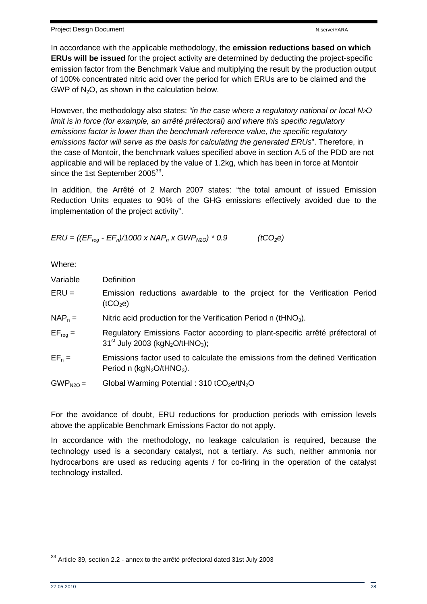Project Design Document N.serve/YARA

In accordance with the applicable methodology, the **emission reductions based on which ERUs will be issued** for the project activity are determined by deducting the project-specific emission factor from the Benchmark Value and multiplying the result by the production output of 100% concentrated nitric acid over the period for which ERUs are to be claimed and the GWP of  $N_2O$ , as shown in the calculation below.

However, the methodology also states: "in the case where a regulatory national or local  $N_2O$ limit is in force (for example, an arrêté préfectoral) and where this specific regulatory emissions factor is lower than the benchmark reference value, the specific regulatory emissions factor will serve as the basis for calculating the generated ERUs". Therefore, in the case of Montoir, the benchmark values specified above in section A.5 of the PDD are not applicable and will be replaced by the value of 1.2kg, which has been in force at Montoir since the 1st September 2005<sup>33</sup>.

In addition, the Arrêté of 2 March 2007 states: "the total amount of issued Emission Reduction Units equates to 90% of the GHG emissions effectively avoided due to the implementation of the project activity".

 $ERU = ((EF_{\text{rea}} - EF_{\text{n}})/1000 \times NAP_{\text{n}} \times GWP_{\text{N2O}}) * 0.9$  (tCO<sub>2</sub>e)

Where:

| Variable            | <b>Definition</b>                                                                                                                             |
|---------------------|-----------------------------------------------------------------------------------------------------------------------------------------------|
| $ERU =$             | Emission reductions awardable to the project for the Verification Period<br>(tCO <sub>2</sub> e)                                              |
| $NAP_n =$           | Nitric acid production for the Verification Period n (tHNO <sub>3</sub> ).                                                                    |
| $EF_{\text{req}} =$ | Regulatory Emissions Factor according to plant-specific arrêté préfectoral of<br>$31^{st}$ July 2003 (kgN <sub>2</sub> O/tHNO <sub>3</sub> ); |
| $EF_n =$            | Emissions factor used to calculate the emissions from the defined Verification<br>Period n ( $kgN_2O$ /tHNO <sub>3</sub> ).                   |
| $GWPN2O =$          | Global Warming Potential: $310 \text{ tCO}_2$ e/tN <sub>2</sub> O                                                                             |

For the avoidance of doubt, ERU reductions for production periods with emission levels above the applicable Benchmark Emissions Factor do not apply.

In accordance with the methodology, no leakage calculation is required, because the technology used is a secondary catalyst, not a tertiary. As such, neither ammonia nor hydrocarbons are used as reducing agents / for co-firing in the operation of the catalyst technology installed.

27.05.2010 28

 $33$  Article 39, section 2.2 - annex to the arrêté préfectoral dated 31st July 2003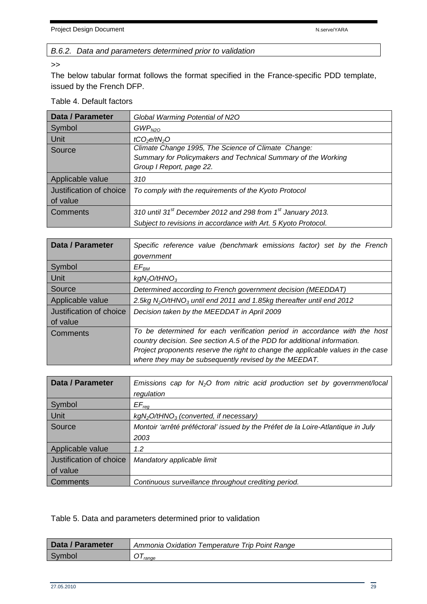# B.6.2. Data and parameters determined prior to validation

#### $\gt$

The below tabular format follows the format specified in the France-specific PDD template, issued by the French DFP.

#### Table 4. Default factors

| Data / Parameter        | Global Warming Potential of N2O                                                     |
|-------------------------|-------------------------------------------------------------------------------------|
| Symbol                  | $GWP_{N2O}$                                                                         |
| Unit                    | tCO <sub>2</sub> e/tN <sub>2</sub> O                                                |
| Source                  | Climate Change 1995, The Science of Climate Change:                                 |
|                         | Summary for Policymakers and Technical Summary of the Working                       |
|                         | Group I Report, page 22.                                                            |
| Applicable value        | 310                                                                                 |
| Justification of choice | To comply with the requirements of the Kyoto Protocol                               |
| of value                |                                                                                     |
| Comments                | 310 until 31 <sup>st</sup> December 2012 and 298 from 1 <sup>st</sup> January 2013. |
|                         | Subject to revisions in accordance with Art. 5 Kyoto Protocol.                      |

| Data / Parameter        | Specific reference value (benchmark emissions factor) set by the French<br>qovernment |
|-------------------------|---------------------------------------------------------------------------------------|
| Symbol                  | $EF_{BM}$                                                                             |
|                         |                                                                                       |
| Unit                    | kgN <sub>2</sub> O/tHNO <sub>3</sub>                                                  |
| Source                  | Determined according to French government decision (MEEDDAT)                          |
| Applicable value        | 2.5kg $N_2O/tHNO_3$ until end 2011 and 1.85kg thereafter until end 2012               |
| Justification of choice | Decision taken by the MEEDDAT in April 2009                                           |
| of value                |                                                                                       |
| Comments                | To be determined for each verification period in accordance with the host             |
|                         | country decision. See section A.5 of the PDD for additional information.              |
|                         | Project proponents reserve the right to change the applicable values in the case      |
|                         | where they may be subsequently revised by the MEEDAT.                                 |

| Data / Parameter        | Emissions cap for $N_2O$ from nitric acid production set by government/local<br>regulation |
|-------------------------|--------------------------------------------------------------------------------------------|
| Symbol                  | $EF_{req}$                                                                                 |
| Unit                    | $kgN2O/tHNO3$ (converted, if necessary)                                                    |
| Source                  | Montoir 'arrêté préféctoral' issued by the Préfet de la Loire-Atlantique in July           |
|                         | 2003                                                                                       |
| Applicable value        | 1.2                                                                                        |
| Justification of choice | Mandatory applicable limit                                                                 |
| of value                |                                                                                            |
| Comments                | Continuous surveillance throughout crediting period.                                       |

### Table 5. Data and parameters determined prior to validation

| <b>Data / Parameter</b> | Temperature Trip Point Range<br>Ammonia Oxidation T |
|-------------------------|-----------------------------------------------------|
| wmbol -                 | range                                               |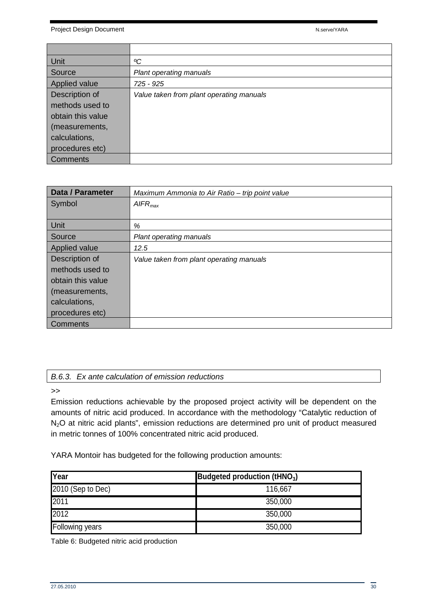| Unit                 | °C                                       |
|----------------------|------------------------------------------|
| Source               | Plant operating manuals                  |
| <b>Applied value</b> | 725 - 925                                |
| Description of       | Value taken from plant operating manuals |
| methods used to      |                                          |
| obtain this value    |                                          |
| (measurements,       |                                          |
| calculations,        |                                          |
| procedures etc)      |                                          |
| Comments             |                                          |

| Data / Parameter  | Maximum Ammonia to Air Ratio - trip point value |
|-------------------|-------------------------------------------------|
| Symbol            | AIFR <sub>max</sub>                             |
|                   |                                                 |
| Unit              | %                                               |
| Source            | <b>Plant operating manuals</b>                  |
| Applied value     | 12.5                                            |
| Description of    | Value taken from plant operating manuals        |
| methods used to   |                                                 |
| obtain this value |                                                 |
| (measurements,    |                                                 |
| calculations,     |                                                 |
| procedures etc)   |                                                 |
| <b>Comments</b>   |                                                 |

#### B.6.3. Ex ante calculation of emission reductions

>>

Emission reductions achievable by the proposed project activity will be dependent on the amounts of nitric acid produced. In accordance with the methodology "Catalytic reduction of N<sub>2</sub>O at nitric acid plants", emission reductions are determined pro unit of product measured in metric tonnes of 100% concentrated nitric acid produced.

YARA Montoir has budgeted for the following production amounts:

| Year              | <b>Budgeted production (tHNO<sub>3</sub>)</b> |
|-------------------|-----------------------------------------------|
| 2010 (Sep to Dec) | 116,667                                       |
| 2011              | 350,000                                       |
| 2012              | 350,000                                       |
| Following years   | 350,000                                       |

Table 6: Budgeted nitric acid production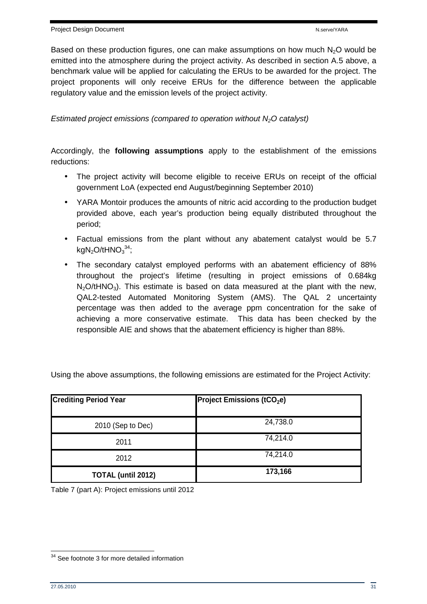Based on these production figures, one can make assumptions on how much  $N<sub>2</sub>O$  would be emitted into the atmosphere during the project activity. As described in section A.5 above, a benchmark value will be applied for calculating the ERUs to be awarded for the project. The project proponents will only receive ERUs for the difference between the applicable regulatory value and the emission levels of the project activity.

Estimated project emissions (compared to operation without  $N<sub>2</sub>O$  catalyst)

Accordingly, the **following assumptions** apply to the establishment of the emissions reductions:

- The project activity will become eligible to receive ERUs on receipt of the official government LoA (expected end August/beginning September 2010)
- YARA Montoir produces the amounts of nitric acid according to the production budget provided above, each year's production being equally distributed throughout the period;
- Factual emissions from the plant without any abatement catalyst would be 5.7 kgN<sub>2</sub>O/tHNO $_3^{34}$ ;
- The secondary catalyst employed performs with an abatement efficiency of 88% throughout the project's lifetime (resulting in project emissions of 0.684kg  $N_2O$ /tHNO<sub>3</sub>). This estimate is based on data measured at the plant with the new, QAL2-tested Automated Monitoring System (AMS). The QAL 2 uncertainty percentage was then added to the average ppm concentration for the sake of achieving a more conservative estimate. This data has been checked by the responsible AIE and shows that the abatement efficiency is higher than 88%.

| <b>Crediting Period Year</b> | <b>Project Emissions (tCO<sub>2</sub>e)</b> |
|------------------------------|---------------------------------------------|
| 2010 (Sep to Dec)            | 24,738.0                                    |
| 2011                         | 74,214.0                                    |
| 2012                         | 74,214.0                                    |
| TOTAL (until 2012)           | 173,166                                     |

Using the above assumptions, the following emissions are estimated for the Project Activity:

Table 7 (part A): Project emissions until 2012

 $\overline{a}$ <sup>34</sup> See footnote 3 for more detailed information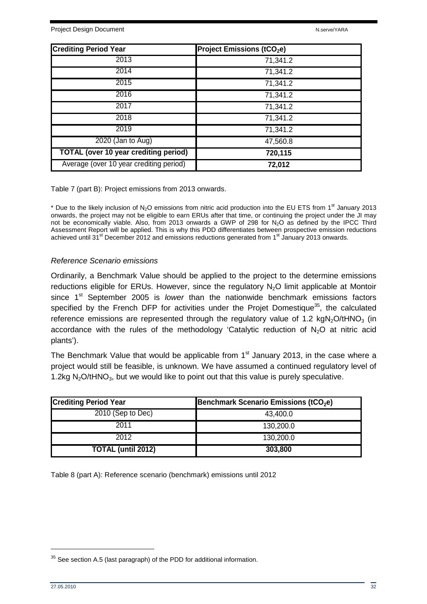Project Design Document N.serve/YARA

| <b>Crediting Period Year</b>                 | <b>Project Emissions (tCO<sub>2</sub>e)</b> |
|----------------------------------------------|---------------------------------------------|
| 2013                                         | 71,341.2                                    |
| 2014                                         | 71,341.2                                    |
| 2015                                         | 71,341.2                                    |
| 2016                                         | 71,341.2                                    |
| 2017                                         | 71,341.2                                    |
| 2018                                         | 71,341.2                                    |
| 2019                                         | 71,341.2                                    |
| 2020 (Jan to Aug)                            | 47,560.8                                    |
| <b>TOTAL (over 10 year crediting period)</b> | 720,115                                     |
| Average (over 10 year crediting period)      | 72,012                                      |

Table 7 (part B): Project emissions from 2013 onwards.

\* Due to the likely inclusion of N<sub>2</sub>O emissions from nitric acid production into the EU ETS from 1<sup>st</sup> January 2013 onwards, the project may not be eligible to earn ERUs after that time, or continuing the project under the JI may not be economically viable. Also, from 2013 onwards a GWP of 298 for N2O as defined by the IPCC Third Assessment Report will be applied. This is why this PDD differentiates between prospective emission reductions achieved until 31<sup>st</sup> December 2012 and emissions reductions generated from 1<sup>st</sup> January 2013 onwards.

#### Reference Scenario emissions

Ordinarily, a Benchmark Value should be applied to the project to the determine emissions reductions eligible for ERUs. However, since the regulatory  $N_2O$  limit applicable at Montoir since  $1<sup>st</sup>$  September 2005 is lower than the nationwide benchmark emissions factors specified by the French DFP for activities under the Projet Domestique $35$ , the calculated reference emissions are represented through the regulatory value of 1.2 kgN<sub>2</sub>O/tHNO<sub>3</sub> (in accordance with the rules of the methodology 'Catalytic reduction of  $N_2O$  at nitric acid plants').

The Benchmark Value that would be applicable from  $1<sup>st</sup>$  January 2013, in the case where a project would still be feasible, is unknown. We have assumed a continued regulatory level of 1.2kg  $N_2O/tHNO_3$ , but we would like to point out that this value is purely speculative.

| <b>Crediting Period Year</b> | Benchmark Scenario Emissions (tCO <sub>2</sub> e) |
|------------------------------|---------------------------------------------------|
| 2010 (Sep to Dec)            | 43,400.0                                          |
| 2011                         | 130,200.0                                         |
| 2012                         | 130,200.0                                         |
| <b>TOTAL (until 2012)</b>    | 303,800                                           |

Table 8 (part A): Reference scenario (benchmark) emissions until 2012

 $35$  See section A.5 (last paragraph) of the PDD for additional information.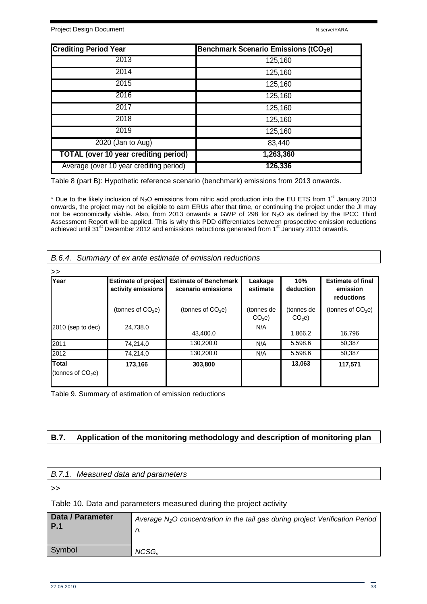Project Design Document N.serve/YARA

| <b>Crediting Period Year</b>                 | Benchmark Scenario Emissions (tCO <sub>2</sub> e) |
|----------------------------------------------|---------------------------------------------------|
| 2013                                         | 125,160                                           |
| 2014                                         | 125,160                                           |
| 2015                                         | 125,160                                           |
| 2016                                         | 125,160                                           |
| 2017                                         | 125,160                                           |
| 2018                                         | 125,160                                           |
| 2019                                         | 125,160                                           |
| $\overline{2020}$ (Jan to Aug)               | 83,440                                            |
| <b>TOTAL (over 10 year crediting period)</b> | 1,263,360                                         |
| Average (over 10 year crediting period)      | 126,336                                           |

Table 8 (part B): Hypothetic reference scenario (benchmark) emissions from 2013 onwards.

\* Due to the likely inclusion of N<sub>2</sub>O emissions from nitric acid production into the EU ETS from 1<sup>st</sup> January 2013 onwards, the project may not be eligible to earn ERUs after that time, or continuing the project under the JI may not be economically viable. Also, from 2013 onwards a GWP of 298 for N<sub>2</sub>O as defined by the IPCC Third Assessment Report will be applied. This is why this PDD differentiates between prospective emission reductions achieved until 31<sup>st</sup> December 2012 and emissions reductions generated from 1<sup>st</sup> January 2013 onwards.

B.6.4. Summary of ex ante estimate of emission reductions

| >                                   |                                                  |                                                    |                                 |                                 |                                                    |
|-------------------------------------|--------------------------------------------------|----------------------------------------------------|---------------------------------|---------------------------------|----------------------------------------------------|
| Year                                | <b>Estimate of project</b><br>activity emissions | <b>Estimate of Benchmark</b><br>scenario emissions | Leakage<br>estimate             | 10%<br>deduction                | <b>Estimate of final</b><br>emission<br>reductions |
|                                     | (tonnes of $CO2e$ )                              | (tonnes of $CO2e$ )                                | (tonnes de<br>CO <sub>2</sub> e | (tonnes de<br>CO <sub>2</sub> e | (tonnes of $CO2e$ )                                |
| $2010$ (sep to dec)                 | 24,738.0                                         | 43,400.0                                           | N/A                             | 1,866.2                         | 16,796                                             |
| 2011                                | 74,214.0                                         | 130,200.0                                          | N/A                             | 5,598.6                         | 50,387                                             |
| 2012                                | 74,214.0                                         | 130,200.0                                          | N/A                             | 5,598.6                         | 50,387                                             |
| <b>Total</b><br>(tonnes of $CO2e$ ) | 173,166                                          | 303.800                                            |                                 | 13,063                          | 117,571                                            |

Table 9. Summary of estimation of emission reductions

### **B.7. Application of the monitoring methodology and description of monitoring plan**

### B.7.1. Measured data and parameters

>>

#### Table 10. Data and parameters measured during the project activity

| Data / Parameter | Average $N_2O$ concentration in the tail gas during project Verification Period |
|------------------|---------------------------------------------------------------------------------|
| P.1              | n.                                                                              |
| Symbol           | $NCSG_n$                                                                        |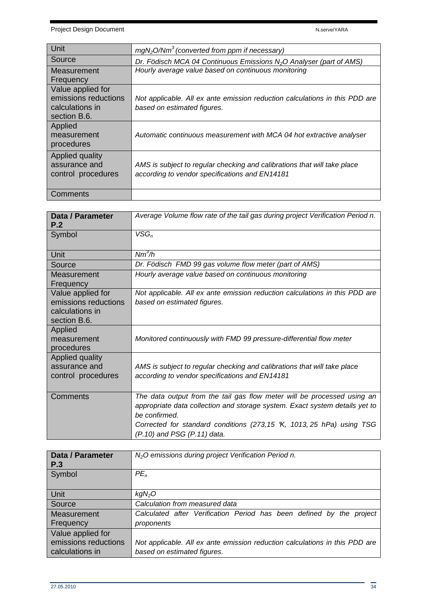Project Design Document National According to the National According National According National According National According National According National According National According National According National According N

| Unit                                                         | $mgN2O/Nm3$ (converted from ppm if necessary)                                                                              |
|--------------------------------------------------------------|----------------------------------------------------------------------------------------------------------------------------|
| Source                                                       | Dr. Födisch MCA 04 Continuous Emissions N <sub>2</sub> O Analyser (part of AMS)                                            |
| Measurement                                                  | Hourly average value based on continuous monitoring                                                                        |
| Frequency                                                    |                                                                                                                            |
| Value applied for<br>emissions reductions<br>calculations in | Not applicable. All ex ante emission reduction calculations in this PDD are<br>based on estimated figures.                 |
| section B.6.                                                 |                                                                                                                            |
| Applied<br>measurement<br>procedures                         | Automatic continuous measurement with MCA 04 hot extractive analyser                                                       |
| Applied quality<br>assurance and<br>control procedures       | AMS is subject to regular checking and calibrations that will take place<br>according to vendor specifications and EN14181 |
| Comments                                                     |                                                                                                                            |

| Data / Parameter<br>P.2                                                      | Average Volume flow rate of the tail gas during project Verification Period n.                                                                                                                                                                                                     |
|------------------------------------------------------------------------------|------------------------------------------------------------------------------------------------------------------------------------------------------------------------------------------------------------------------------------------------------------------------------------|
| Symbol                                                                       | $VSG_n$                                                                                                                                                                                                                                                                            |
| Unit                                                                         | $Nm^3/h$                                                                                                                                                                                                                                                                           |
| Source                                                                       | Dr. Födisch FMD 99 gas volume flow meter (part of AMS)                                                                                                                                                                                                                             |
| Measurement<br>Frequency                                                     | Hourly average value based on continuous monitoring                                                                                                                                                                                                                                |
| Value applied for<br>emissions reductions<br>calculations in<br>section B.6. | Not applicable. All ex ante emission reduction calculations in this PDD are<br>based on estimated figures.                                                                                                                                                                         |
| Applied<br>measurement<br>procedures                                         | Monitored continuously with FMD 99 pressure-differential flow meter                                                                                                                                                                                                                |
| Applied quality<br>assurance and<br>control procedures                       | AMS is subject to regular checking and calibrations that will take place<br>according to vendor specifications and EN14181                                                                                                                                                         |
| Comments                                                                     | The data output from the tail gas flow meter will be processed using an<br>appropriate data collection and storage system. Exact system details yet to<br>be confirmed.<br>Corrected for standard conditions (273,15 K, 1013, 25 hPa) using TSG<br>$(P.10)$ and PSG $(P.11)$ data. |

| Data / Parameter<br>P.3                                      | N <sub>2</sub> O emissions during project Verification Period n.                                           |
|--------------------------------------------------------------|------------------------------------------------------------------------------------------------------------|
| Symbol                                                       | $PE_n$                                                                                                     |
| Unit                                                         | kgN <sub>2</sub> O                                                                                         |
| Source                                                       | Calculation from measured data                                                                             |
| Measurement                                                  | Calculated after Verification Period has been defined by the project                                       |
| Frequency                                                    | proponents                                                                                                 |
| Value applied for<br>emissions reductions<br>calculations in | Not applicable. All ex ante emission reduction calculations in this PDD are<br>based on estimated figures. |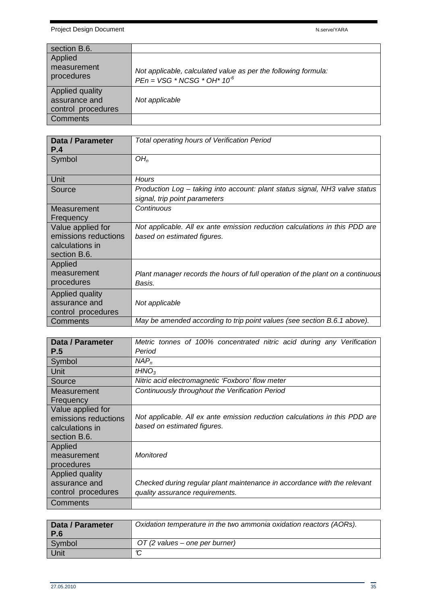| section B.6.           |                                                                                                    |
|------------------------|----------------------------------------------------------------------------------------------------|
| Applied<br>measurement |                                                                                                    |
| procedures             | Not applicable, calculated value as per the following formula:<br>$PEn = VSG * NCSG * OH* 10^{-6}$ |
|                        |                                                                                                    |
| Applied quality        |                                                                                                    |
| assurance and          | Not applicable                                                                                     |
| control procedures     |                                                                                                    |
| <b>Comments</b>        |                                                                                                    |

| Data / Parameter<br>P.4                                                      | <b>Total operating hours of Verification Period</b>                                                          |
|------------------------------------------------------------------------------|--------------------------------------------------------------------------------------------------------------|
| Symbol                                                                       | OH <sub>n</sub>                                                                                              |
| Unit                                                                         | Hours                                                                                                        |
| Source                                                                       | Production Log – taking into account: plant status signal, NH3 valve status<br>signal, trip point parameters |
| Measurement<br>Frequency                                                     | Continuous                                                                                                   |
| Value applied for<br>emissions reductions<br>calculations in<br>section B.6. | Not applicable. All ex ante emission reduction calculations in this PDD are<br>based on estimated figures.   |
| Applied<br>measurement<br>procedures                                         | Plant manager records the hours of full operation of the plant on a continuous<br>Basis.                     |
| Applied quality<br>assurance and<br>control procedures                       | Not applicable                                                                                               |
| Comments                                                                     | May be amended according to trip point values (see section B.6.1 above).                                     |

| Data / Parameter<br>P.5                                                      | Metric tonnes of 100% concentrated nitric acid during any Verification<br>Period                            |
|------------------------------------------------------------------------------|-------------------------------------------------------------------------------------------------------------|
| Symbol                                                                       | $NAP_n$                                                                                                     |
| Unit                                                                         | tHNO <sub>3</sub>                                                                                           |
| Source                                                                       | Nitric acid electromagnetic 'Foxboro' flow meter                                                            |
| Measurement<br>Frequency                                                     | Continuously throughout the Verification Period                                                             |
| Value applied for<br>emissions reductions<br>calculations in<br>section B.6. | Not applicable. All ex ante emission reduction calculations in this PDD are<br>based on estimated figures.  |
| Applied<br>measurement<br>procedures                                         | Monitored                                                                                                   |
| Applied quality                                                              |                                                                                                             |
| assurance and<br>control procedures                                          | Checked during regular plant maintenance in accordance with the relevant<br>quality assurance requirements. |
| Comments                                                                     |                                                                                                             |

| Data / Parameter<br>P.6 | Oxidation temperature in the two ammonia oxidation reactors (AORs). |
|-------------------------|---------------------------------------------------------------------|
| Symbol                  | OT (2 values – one per burner)                                      |
| Unit                    | $\sim$                                                              |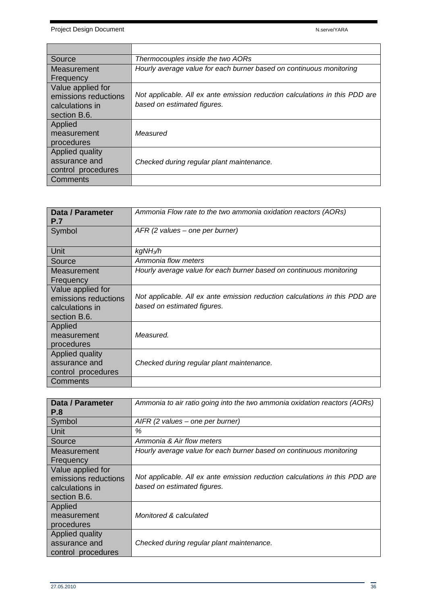Г

ī

| Source               | Thermocouples inside the two AORs                                           |
|----------------------|-----------------------------------------------------------------------------|
| Measurement          | Hourly average value for each burner based on continuous monitoring         |
| Frequency            |                                                                             |
| Value applied for    |                                                                             |
| emissions reductions | Not applicable. All ex ante emission reduction calculations in this PDD are |
| calculations in      | based on estimated figures.                                                 |
| section B.6.         |                                                                             |
| Applied              |                                                                             |
| measurement          | Measured                                                                    |
| procedures           |                                                                             |
| Applied quality      |                                                                             |
| assurance and        | Checked during regular plant maintenance.                                   |
| control procedures   |                                                                             |
| Comments             |                                                                             |

| Data / Parameter<br><b>P.7</b> | Ammonia Flow rate to the two ammonia oxidation reactors (AORs)              |
|--------------------------------|-----------------------------------------------------------------------------|
| Symbol                         | $AFR$ (2 values – one per burner)                                           |
| Unit                           | kqNH <sub>3</sub> /h                                                        |
| Source                         | Ammonia flow meters                                                         |
| Measurement                    | Hourly average value for each burner based on continuous monitoring         |
| Frequency                      |                                                                             |
| Value applied for              |                                                                             |
| emissions reductions           | Not applicable. All ex ante emission reduction calculations in this PDD are |
| calculations in                | based on estimated figures.                                                 |
| section B.6.                   |                                                                             |
| Applied                        |                                                                             |
| measurement                    | Measured.                                                                   |
| procedures                     |                                                                             |
| Applied quality                |                                                                             |
| assurance and                  | Checked during regular plant maintenance.                                   |
| control procedures             |                                                                             |
| Comments                       |                                                                             |

| Data / Parameter<br><b>P.8</b>                                               | Ammonia to air ratio going into the two ammonia oxidation reactors (AORs)                                  |
|------------------------------------------------------------------------------|------------------------------------------------------------------------------------------------------------|
| Symbol                                                                       | AIFR (2 values – one per burner)                                                                           |
| Unit                                                                         | ℅                                                                                                          |
| Source                                                                       | Ammonia & Air flow meters                                                                                  |
| Measurement<br>Frequency                                                     | Hourly average value for each burner based on continuous monitoring                                        |
| Value applied for<br>emissions reductions<br>calculations in<br>section B.6. | Not applicable. All ex ante emission reduction calculations in this PDD are<br>based on estimated figures. |
| Applied<br>measurement<br>procedures                                         | Monitored & calculated                                                                                     |
| Applied quality<br>assurance and<br>control procedures                       | Checked during regular plant maintenance.                                                                  |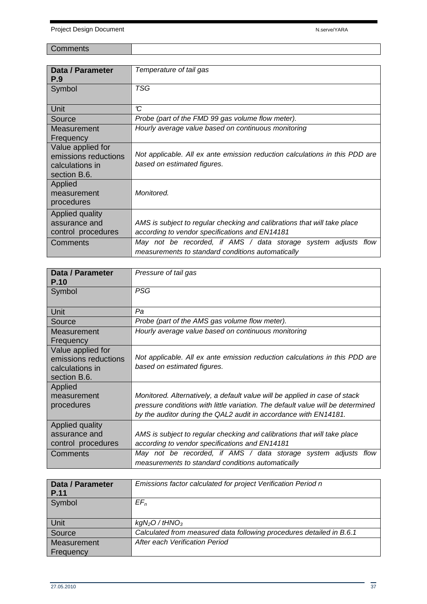# **Comments**

| Data / Parameter     | Temperature of tail gas                                                     |
|----------------------|-----------------------------------------------------------------------------|
| P.9                  |                                                                             |
| Symbol               | TSG                                                                         |
|                      |                                                                             |
| Unit                 | C                                                                           |
| Source               | Probe (part of the FMD 99 gas volume flow meter).                           |
| Measurement          | Hourly average value based on continuous monitoring                         |
| Frequency            |                                                                             |
| Value applied for    |                                                                             |
| emissions reductions | Not applicable. All ex ante emission reduction calculations in this PDD are |
| calculations in      | based on estimated figures.                                                 |
| section B.6.         |                                                                             |
| Applied              |                                                                             |
| measurement          | Monitored.                                                                  |
| procedures           |                                                                             |
| Applied quality      |                                                                             |
| assurance and        | AMS is subject to regular checking and calibrations that will take place    |
| control procedures   | according to vendor specifications and EN14181                              |
| Comments             | May not be recorded, if AMS / data storage system adjusts<br>flow           |
|                      | measurements to standard conditions automatically                           |

| Data / Parameter<br><b>P.10</b>                                              | Pressure of tail gas                                                                                                                                                                                                              |
|------------------------------------------------------------------------------|-----------------------------------------------------------------------------------------------------------------------------------------------------------------------------------------------------------------------------------|
| Symbol                                                                       | <b>PSG</b>                                                                                                                                                                                                                        |
| Unit                                                                         | Pa                                                                                                                                                                                                                                |
| Source                                                                       | Probe (part of the AMS gas volume flow meter).                                                                                                                                                                                    |
| Measurement<br>Frequency                                                     | Hourly average value based on continuous monitoring                                                                                                                                                                               |
| Value applied for<br>emissions reductions<br>calculations in<br>section B.6. | Not applicable. All ex ante emission reduction calculations in this PDD are<br>based on estimated figures.                                                                                                                        |
| Applied<br>measurement<br>procedures                                         | Monitored. Alternatively, a default value will be applied in case of stack<br>pressure conditions with little variation. The default value will be determined<br>by the auditor during the QAL2 audit in accordance with EN14181. |
| Applied quality<br>assurance and<br>control procedures<br>Comments           | AMS is subject to regular checking and calibrations that will take place<br>according to vendor specifications and EN14181<br>May not be recorded, if AMS / data storage system adjusts<br>flow                                   |
|                                                                              | measurements to standard conditions automatically                                                                                                                                                                                 |

| Data / Parameter<br><b>P.11</b> | Emissions factor calculated for project Verification Period n        |
|---------------------------------|----------------------------------------------------------------------|
| Symbol                          | $EF_n$                                                               |
| <b>Unit</b>                     | $kgN_2O$ / tHNO <sub>3</sub>                                         |
| Source                          | Calculated from measured data following procedures detailed in B.6.1 |
| Measurement<br>Frequency        | After each Verification Period                                       |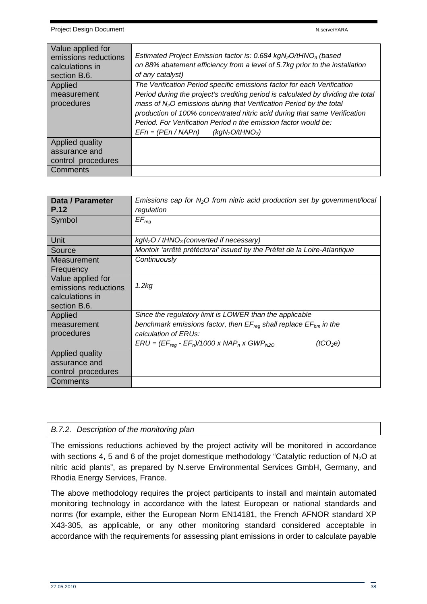| Value applied for<br>emissions reductions<br>calculations in<br>section B.6. | Estimated Project Emission factor is: 0.684 kgN <sub>2</sub> O/tHNO <sub>3</sub> (based<br>on 88% abatement efficiency from a level of 5.7kg prior to the installation<br>of any catalyst) |
|------------------------------------------------------------------------------|--------------------------------------------------------------------------------------------------------------------------------------------------------------------------------------------|
| Applied                                                                      | The Verification Period specific emissions factor for each Verification                                                                                                                    |
| measurement                                                                  | Period during the project's crediting period is calculated by dividing the total                                                                                                           |
| procedures                                                                   | mass of $N2O$ emissions during that Verification Period by the total                                                                                                                       |
|                                                                              | production of 100% concentrated nitric acid during that same Verification                                                                                                                  |
|                                                                              | Period. For Verification Period n the emission factor would be:                                                                                                                            |
|                                                                              | $EFn = (PEn / NAPn)$<br>(kgN <sub>2</sub> O/tHNO <sub>3</sub> )                                                                                                                            |
| Applied quality                                                              |                                                                                                                                                                                            |
| assurance and                                                                |                                                                                                                                                                                            |
| control procedures                                                           |                                                                                                                                                                                            |
| Comments                                                                     |                                                                                                                                                                                            |

| Data / Parameter<br>P.12                                                     | Emissions cap for $N_2O$ from nitric acid production set by government/local<br>regulation |
|------------------------------------------------------------------------------|--------------------------------------------------------------------------------------------|
| Symbol                                                                       | $EF_{req}$                                                                                 |
| Unit                                                                         | $kgN2O / tHNO3$ (converted if necessary)                                                   |
| Source                                                                       | Montoir 'arrêté préféctoral' issued by the Préfet de la Loire-Atlantique                   |
| Measurement<br>Frequency                                                     | Continuously                                                                               |
| Value applied for<br>emissions reductions<br>calculations in<br>section B.6. | 1.2kg                                                                                      |
| Applied                                                                      | Since the regulatory limit is LOWER than the applicable                                    |
| measurement                                                                  | benchmark emissions factor, then $EF_{req}$ shall replace $EF_{bm}$ in the                 |
| procedures                                                                   | calculation of ERUs:                                                                       |
|                                                                              | $ERU = (EF_{req} - EF_n)/1000 \times NAP_n \times GWP_{N20}$<br>(tCO <sub>2</sub> e)       |
| Applied quality                                                              |                                                                                            |
| assurance and                                                                |                                                                                            |
| control procedures                                                           |                                                                                            |
| Comments                                                                     |                                                                                            |

#### B.7.2. Description of the monitoring plan

The emissions reductions achieved by the project activity will be monitored in accordance with sections 4, 5 and 6 of the projet domestique methodology "Catalytic reduction of  $N_2O$  at nitric acid plants", as prepared by N.serve Environmental Services GmbH, Germany, and Rhodia Energy Services, France.

The above methodology requires the project participants to install and maintain automated monitoring technology in accordance with the latest European or national standards and norms (for example, either the European Norm EN14181, the French AFNOR standard XP X43-305, as applicable, or any other monitoring standard considered acceptable in accordance with the requirements for assessing plant emissions in order to calculate payable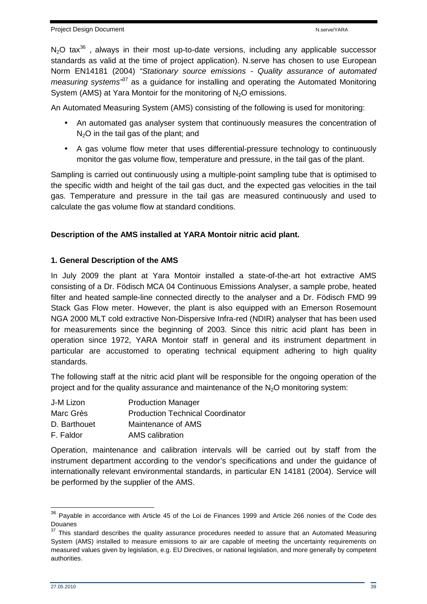$N_2$ O tax<sup>36</sup>, always in their most up-to-date versions, including any applicable successor standards as valid at the time of project application). N.serve has chosen to use European Norm EN14181 (2004) "Stationary source emissions - Quality assurance of automated *measuring systems<sup>387</sup>* as a guidance for installing and operating the Automated Monitoring System (AMS) at Yara Montoir for the monitoring of  $N<sub>2</sub>O$  emissions.

An Automated Measuring System (AMS) consisting of the following is used for monitoring:

- An automated gas analyser system that continuously measures the concentration of  $N<sub>2</sub>O$  in the tail gas of the plant; and
- A gas volume flow meter that uses differential-pressure technology to continuously monitor the gas volume flow, temperature and pressure, in the tail gas of the plant.

Sampling is carried out continuously using a multiple-point sampling tube that is optimised to the specific width and height of the tail gas duct, and the expected gas velocities in the tail gas. Temperature and pressure in the tail gas are measured continuously and used to calculate the gas volume flow at standard conditions.

### **Description of the AMS installed at YARA Montoir nitric acid plant.**

### **1. General Description of the AMS**

In July 2009 the plant at Yara Montoir installed a state-of-the-art hot extractive AMS consisting of a Dr. Födisch MCA 04 Continuous Emissions Analyser, a sample probe, heated filter and heated sample-line connected directly to the analyser and a Dr. Födisch FMD 99 Stack Gas Flow meter. However, the plant is also equipped with an Emerson Rosemount NGA 2000 MLT cold extractive Non-Dispersive Infra-red (NDIR) analyser that has been used for measurements since the beginning of 2003. Since this nitric acid plant has been in operation since 1972, YARA Montoir staff in general and its instrument department in particular are accustomed to operating technical equipment adhering to high quality standards.

The following staff at the nitric acid plant will be responsible for the ongoing operation of the project and for the quality assurance and maintenance of the  $N<sub>2</sub>O$  monitoring system:

| J-M Lizon    | <b>Production Manager</b>               |
|--------------|-----------------------------------------|
| Marc Grès    | <b>Production Technical Coordinator</b> |
| D. Barthouet | Maintenance of AMS                      |
| F. Faldor    | AMS calibration                         |

Operation, maintenance and calibration intervals will be carried out by staff from the instrument department according to the vendor's specifications and under the guidance of internationally relevant environmental standards, in particular EN 14181 (2004). Service will be performed by the supplier of the AMS.

  $36$  Payable in accordance with Article 45 of the Loi de Finances 1999 and Article 266 nonies of the Code des Douanes

<sup>&</sup>lt;sup>37</sup> This standard describes the quality assurance procedures needed to assure that an Automated Measuring System (AMS) installed to measure emissions to air are capable of meeting the uncertainty requirements on measured values given by legislation, e.g. EU Directives, or national legislation, and more generally by competent authorities.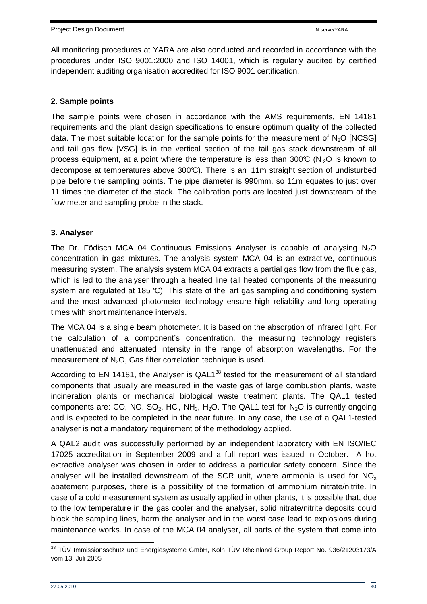All monitoring procedures at YARA are also conducted and recorded in accordance with the procedures under ISO 9001:2000 and ISO 14001, which is regularly audited by certified independent auditing organisation accredited for ISO 9001 certification.

## **2. Sample points**

The sample points were chosen in accordance with the AMS requirements, EN 14181 requirements and the plant design specifications to ensure optimum quality of the collected data. The most suitable location for the sample points for the measurement of  $N_2O$  [NCSG] and tail gas flow [VSG] is in the vertical section of the tail gas stack downstream of all process equipment, at a point where the temperature is less than 300°C (N<sub>2</sub>O is known to decompose at temperatures above  $300\degree$ . There is an 11m straight section of undisturbed pipe before the sampling points. The pipe diameter is 990mm, so 11m equates to just over 11 times the diameter of the stack. The calibration ports are located just downstream of the flow meter and sampling probe in the stack.

### **3. Analyser**

The Dr. Födisch MCA 04 Continuous Emissions Analyser is capable of analysing  $N<sub>2</sub>O$ concentration in gas mixtures. The analysis system MCA 04 is an extractive, continuous measuring system. The analysis system MCA 04 extracts a partial gas flow from the flue gas, which is led to the analyser through a heated line (all heated components of the measuring system are regulated at 185  $\mathbb{C}$ ). This state of the art gas sampling and conditioning system and the most advanced photometer technology ensure high reliability and long operating times with short maintenance intervals.

The MCA 04 is a single beam photometer. It is based on the absorption of infrared light. For the calculation of a component's concentration, the measuring technology registers unattenuated and attenuated intensity in the range of absorption wavelengths. For the measurement of N<sub>2</sub>O, Gas filter correlation technique is used.

According to EN 14181, the Analyser is QAL1<sup>38</sup> tested for the measurement of all standard components that usually are measured in the waste gas of large combustion plants, waste incineration plants or mechanical biological waste treatment plants. The QAL1 tested components are: CO, NO, SO<sub>2</sub>, HC<sub>I</sub>, NH<sub>3</sub>, H<sub>2</sub>O. The QAL1 test for N<sub>2</sub>O is currently ongoing and is expected to be completed in the near future. In any case, the use of a QAL1-tested analyser is not a mandatory requirement of the methodology applied.

A QAL2 audit was successfully performed by an independent laboratory with EN ISO/IEC 17025 accreditation in September 2009 and a full report was issued in October. A hot extractive analyser was chosen in order to address a particular safety concern. Since the analyser will be installed downstream of the SCR unit, where ammonia is used for  $NO<sub>x</sub>$ abatement purposes, there is a possibility of the formation of ammonium nitrate/nitrite. In case of a cold measurement system as usually applied in other plants, it is possible that, due to the low temperature in the gas cooler and the analyser, solid nitrate/nitrite deposits could block the sampling lines, harm the analyser and in the worst case lead to explosions during maintenance works. In case of the MCA 04 analyser, all parts of the system that come into

 <sup>38</sup> TÜV Immissionsschutz und Energiesysteme GmbH, Köln TÜV Rheinland Group Report No. 936/21203173/A vom 13. Juli 2005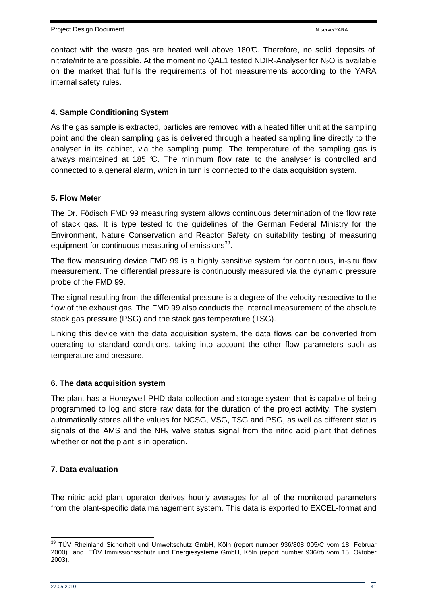contact with the waste gas are heated well above 180 $\mathbb{C}$ . Therefore, no solid deposits of nitrate/nitrite are possible. At the moment no QAL1 tested NDIR-Analyser for  $N<sub>2</sub>O$  is available on the market that fulfils the requirements of hot measurements according to the YARA internal safety rules.

## **4. Sample Conditioning System**

As the gas sample is extracted, particles are removed with a heated filter unit at the sampling point and the clean sampling gas is delivered through a heated sampling line directly to the analyser in its cabinet, via the sampling pump. The temperature of the sampling gas is always maintained at 185  $\mathbb{C}$ . The minimum flow rate to the analyser is controlled and connected to a general alarm, which in turn is connected to the data acquisition system.

### **5. Flow Meter**

The Dr. Födisch FMD 99 measuring system allows continuous determination of the flow rate of stack gas. It is type tested to the guidelines of the German Federal Ministry for the Environment, Nature Conservation and Reactor Safety on suitability testing of measuring equipment for continuous measuring of emissions<sup>39</sup>.

The flow measuring device FMD 99 is a highly sensitive system for continuous, in-situ flow measurement. The differential pressure is continuously measured via the dynamic pressure probe of the FMD 99.

The signal resulting from the differential pressure is a degree of the velocity respective to the flow of the exhaust gas. The FMD 99 also conducts the internal measurement of the absolute stack gas pressure (PSG) and the stack gas temperature (TSG).

Linking this device with the data acquisition system, the data flows can be converted from operating to standard conditions, taking into account the other flow parameters such as temperature and pressure.

### **6. The data acquisition system**

The plant has a Honeywell PHD data collection and storage system that is capable of being programmed to log and store raw data for the duration of the project activity. The system automatically stores all the values for NCSG, VSG, TSG and PSG, as well as different status signals of the AMS and the  $NH<sub>3</sub>$  valve status signal from the nitric acid plant that defines whether or not the plant is in operation.

### **7. Data evaluation**

The nitric acid plant operator derives hourly averages for all of the monitored parameters from the plant-specific data management system. This data is exported to EXCEL-format and

 $\overline{a}$ <sup>39</sup> TÜV Rheinland Sicherheit und Umweltschutz GmbH, Köln (report number 936/808 005/C vom 18. Februar 2000) and TÜV Immissionsschutz und Energiesysteme GmbH, Köln (report number 936/rö vom 15. Oktober 2003).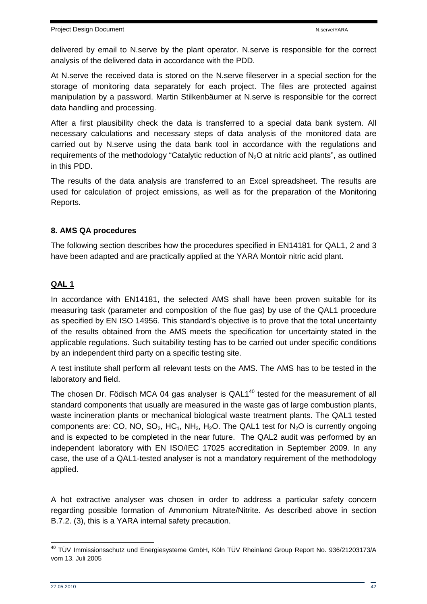delivered by email to N.serve by the plant operator. N.serve is responsible for the correct analysis of the delivered data in accordance with the PDD.

At N.serve the received data is stored on the N.serve fileserver in a special section for the storage of monitoring data separately for each project. The files are protected against manipulation by a password. Martin Stilkenbäumer at N.serve is responsible for the correct data handling and processing.

After a first plausibility check the data is transferred to a special data bank system. All necessary calculations and necessary steps of data analysis of the monitored data are carried out by N.serve using the data bank tool in accordance with the regulations and requirements of the methodology "Catalytic reduction of  $N<sub>2</sub>O$  at nitric acid plants", as outlined in this PDD.

The results of the data analysis are transferred to an Excel spreadsheet. The results are used for calculation of project emissions, as well as for the preparation of the Monitoring Reports.

### **8. AMS QA procedures**

The following section describes how the procedures specified in EN14181 for QAL1, 2 and 3 have been adapted and are practically applied at the YARA Montoir nitric acid plant.

# **QAL 1**

In accordance with EN14181, the selected AMS shall have been proven suitable for its measuring task (parameter and composition of the flue gas) by use of the QAL1 procedure as specified by EN ISO 14956. This standard's objective is to prove that the total uncertainty of the results obtained from the AMS meets the specification for uncertainty stated in the applicable regulations. Such suitability testing has to be carried out under specific conditions by an independent third party on a specific testing site.

A test institute shall perform all relevant tests on the AMS. The AMS has to be tested in the laboratory and field.

The chosen Dr. Födisch MCA 04 gas analyser is  $QAL1<sup>40</sup>$  tested for the measurement of all standard components that usually are measured in the waste gas of large combustion plants, waste incineration plants or mechanical biological waste treatment plants. The QAL1 tested components are: CO, NO, SO<sub>2</sub>, HC<sub>1</sub>, NH<sub>3</sub>, H<sub>2</sub>O. The QAL1 test for N<sub>2</sub>O is currently ongoing and is expected to be completed in the near future. The QAL2 audit was performed by an independent laboratory with EN ISO/IEC 17025 accreditation in September 2009. In any case, the use of a QAL1-tested analyser is not a mandatory requirement of the methodology applied.

A hot extractive analyser was chosen in order to address a particular safety concern regarding possible formation of Ammonium Nitrate/Nitrite. As described above in section B.7.2. (3), this is a YARA internal safety precaution.

 <sup>40</sup> TÜV Immissionsschutz und Energiesysteme GmbH, Köln TÜV Rheinland Group Report No. 936/21203173/A vom 13. Juli 2005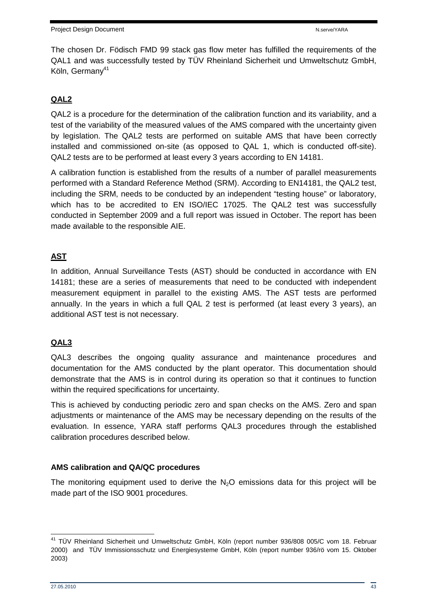The chosen Dr. Födisch FMD 99 stack gas flow meter has fulfilled the requirements of the QAL1 and was successfully tested by TÜV Rheinland Sicherheit und Umweltschutz GmbH, Köln, Germany<sup>41</sup>

# **QAL2**

QAL2 is a procedure for the determination of the calibration function and its variability, and a test of the variability of the measured values of the AMS compared with the uncertainty given by legislation. The QAL2 tests are performed on suitable AMS that have been correctly installed and commissioned on-site (as opposed to QAL 1, which is conducted off-site). QAL2 tests are to be performed at least every 3 years according to EN 14181.

A calibration function is established from the results of a number of parallel measurements performed with a Standard Reference Method (SRM). According to EN14181, the QAL2 test, including the SRM, needs to be conducted by an independent "testing house" or laboratory, which has to be accredited to EN ISO/IEC 17025. The QAL2 test was successfully conducted in September 2009 and a full report was issued in October. The report has been made available to the responsible AIE.

# **AST**

In addition, Annual Surveillance Tests (AST) should be conducted in accordance with EN 14181; these are a series of measurements that need to be conducted with independent measurement equipment in parallel to the existing AMS. The AST tests are performed annually. In the years in which a full QAL 2 test is performed (at least every 3 years), an additional AST test is not necessary.

# **QAL3**

QAL3 describes the ongoing quality assurance and maintenance procedures and documentation for the AMS conducted by the plant operator. This documentation should demonstrate that the AMS is in control during its operation so that it continues to function within the required specifications for uncertainty.

This is achieved by conducting periodic zero and span checks on the AMS. Zero and span adjustments or maintenance of the AMS may be necessary depending on the results of the evaluation. In essence, YARA staff performs QAL3 procedures through the established calibration procedures described below.

# **AMS calibration and QA/QC procedures**

The monitoring equipment used to derive the  $N_2O$  emissions data for this project will be made part of the ISO 9001 procedures.

 <sup>41</sup> TÜV Rheinland Sicherheit und Umweltschutz GmbH, Köln (report number 936/808 005/C vom 18. Februar 2000) and TÜV Immissionsschutz und Energiesysteme GmbH, Köln (report number 936/rö vom 15. Oktober 2003)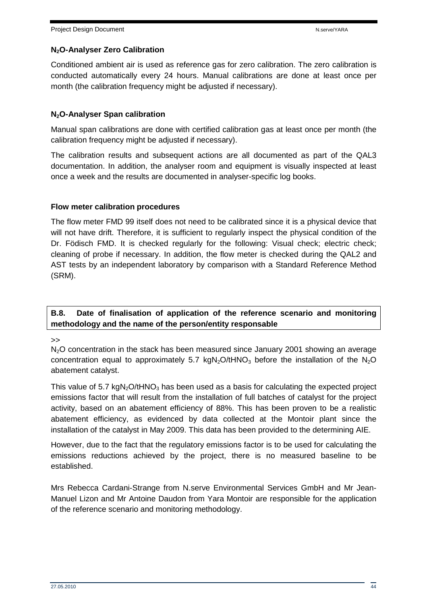### **N2O-Analyser Zero Calibration**

Conditioned ambient air is used as reference gas for zero calibration. The zero calibration is conducted automatically every 24 hours. Manual calibrations are done at least once per month (the calibration frequency might be adjusted if necessary).

### **N2O-Analyser Span calibration**

Manual span calibrations are done with certified calibration gas at least once per month (the calibration frequency might be adjusted if necessary).

The calibration results and subsequent actions are all documented as part of the QAL3 documentation. In addition, the analyser room and equipment is visually inspected at least once a week and the results are documented in analyser-specific log books.

### **Flow meter calibration procedures**

The flow meter FMD 99 itself does not need to be calibrated since it is a physical device that will not have drift. Therefore, it is sufficient to regularly inspect the physical condition of the Dr. Födisch FMD. It is checked regularly for the following: Visual check; electric check; cleaning of probe if necessary. In addition, the flow meter is checked during the QAL2 and AST tests by an independent laboratory by comparison with a Standard Reference Method (SRM).

# **B.8. Date of finalisation of application of the reference scenario and monitoring methodology and the name of the person/entity responsable**

#### $\rightarrow$

 $N<sub>2</sub>O$  concentration in the stack has been measured since January 2001 showing an average concentration equal to approximately 5.7 kgN<sub>2</sub>O/tHNO<sub>3</sub> before the installation of the N<sub>2</sub>O abatement catalyst.

This value of 5.7 kgN<sub>2</sub>O/tHNO<sub>3</sub> has been used as a basis for calculating the expected project emissions factor that will result from the installation of full batches of catalyst for the project activity, based on an abatement efficiency of 88%. This has been proven to be a realistic abatement efficiency, as evidenced by data collected at the Montoir plant since the installation of the catalyst in May 2009. This data has been provided to the determining AIE.

However, due to the fact that the regulatory emissions factor is to be used for calculating the emissions reductions achieved by the project, there is no measured baseline to be established.

Mrs Rebecca Cardani-Strange from N.serve Environmental Services GmbH and Mr Jean-Manuel Lizon and Mr Antoine Daudon from Yara Montoir are responsible for the application of the reference scenario and monitoring methodology.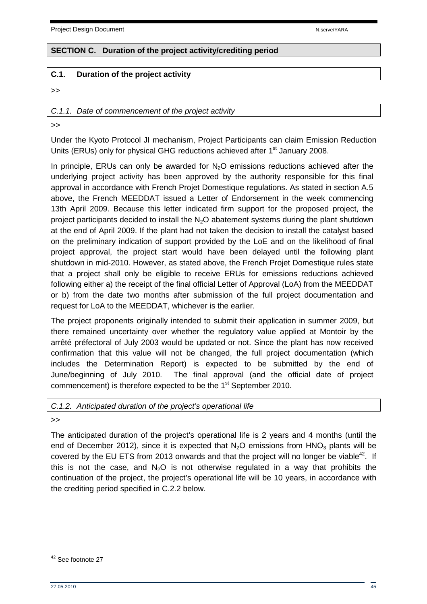### **SECTION C. Duration of the project activity/crediting period**

#### **C.1. Duration of the project activity**

>>

#### C.1.1. Date of commencement of the project activity

>>

Under the Kyoto Protocol JI mechanism, Project Participants can claim Emission Reduction Units (ERUs) only for physical GHG reductions achieved after 1<sup>st</sup> January 2008.

In principle, ERUs can only be awarded for  $N_2O$  emissions reductions achieved after the underlying project activity has been approved by the authority responsible for this final approval in accordance with French Projet Domestique regulations. As stated in section A.5 above, the French MEEDDAT issued a Letter of Endorsement in the week commencing 13th April 2009. Because this letter indicated firm support for the proposed project, the project participants decided to install the  $N<sub>2</sub>O$  abatement systems during the plant shutdown at the end of April 2009. If the plant had not taken the decision to install the catalyst based on the preliminary indication of support provided by the LoE and on the likelihood of final project approval, the project start would have been delayed until the following plant shutdown in mid-2010. However, as stated above, the French Projet Domestique rules state that a project shall only be eligible to receive ERUs for emissions reductions achieved following either a) the receipt of the final official Letter of Approval (LoA) from the MEEDDAT or b) from the date two months after submission of the full project documentation and request for LoA to the MEEDDAT, whichever is the earlier.

The project proponents originally intended to submit their application in summer 2009, but there remained uncertainty over whether the regulatory value applied at Montoir by the arrêté préfectoral of July 2003 would be updated or not. Since the plant has now received confirmation that this value will not be changed, the full project documentation (which includes the Determination Report) is expected to be submitted by the end of June/beginning of July 2010. The final approval (and the official date of project commencement) is therefore expected to be the 1<sup>st</sup> September 2010.

#### C.1.2. Anticipated duration of the project's operational life

>>

The anticipated duration of the project's operational life is 2 years and 4 months (until the end of December 2012), since it is expected that  $N<sub>2</sub>O$  emissions from  $HNO<sub>3</sub>$  plants will be covered by the EU ETS from 2013 onwards and that the project will no longer be viable<sup>42</sup>. If this is not the case, and  $N_2O$  is not otherwise regulated in a way that prohibits the continuation of the project, the project's operational life will be 10 years, in accordance with the crediting period specified in C.2.2 below.

<sup>42</sup> See footnote 27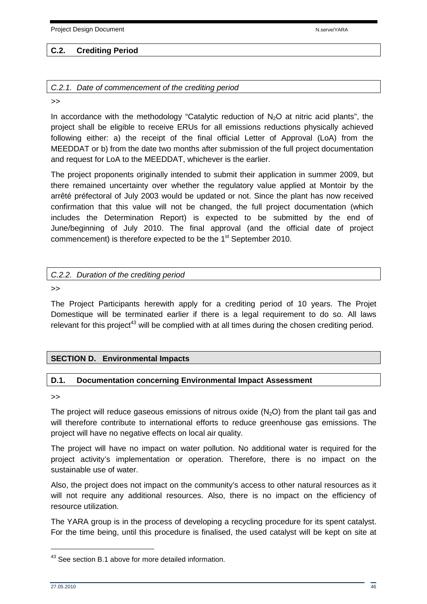# **C.2. Crediting Period**

# C.2.1. Date of commencement of the crediting period

>>

In accordance with the methodology "Catalytic reduction of  $N<sub>2</sub>O$  at nitric acid plants", the project shall be eligible to receive ERUs for all emissions reductions physically achieved following either: a) the receipt of the final official Letter of Approval (LoA) from the MEEDDAT or b) from the date two months after submission of the full project documentation and request for LoA to the MEEDDAT, whichever is the earlier.

The project proponents originally intended to submit their application in summer 2009, but there remained uncertainty over whether the regulatory value applied at Montoir by the arrêté préfectoral of July 2003 would be updated or not. Since the plant has now received confirmation that this value will not be changed, the full project documentation (which includes the Determination Report) is expected to be submitted by the end of June/beginning of July 2010. The final approval (and the official date of project commencement) is therefore expected to be the 1<sup>st</sup> September 2010.

|  |  | C.2.2. Duration of the crediting period |  |
|--|--|-----------------------------------------|--|
|--|--|-----------------------------------------|--|

>>

The Project Participants herewith apply for a crediting period of 10 years. The Projet Domestique will be terminated earlier if there is a legal requirement to do so. All laws relevant for this project<sup>43</sup> will be complied with at all times during the chosen crediting period.

# **SECTION D. Environmental Impacts**

### **D.1. Documentation concerning Environmental Impact Assessment**

>>

The project will reduce gaseous emissions of nitrous oxide  $(N_2O)$  from the plant tail gas and will therefore contribute to international efforts to reduce greenhouse gas emissions. The project will have no negative effects on local air quality.

The project will have no impact on water pollution. No additional water is required for the project activity's implementation or operation. Therefore, there is no impact on the sustainable use of water.

Also, the project does not impact on the community's access to other natural resources as it will not require any additional resources. Also, there is no impact on the efficiency of resource utilization.

The YARA group is in the process of developing a recycling procedure for its spent catalyst. For the time being, until this procedure is finalised, the used catalyst will be kept on site at

 $43$  See section B.1 above for more detailed information.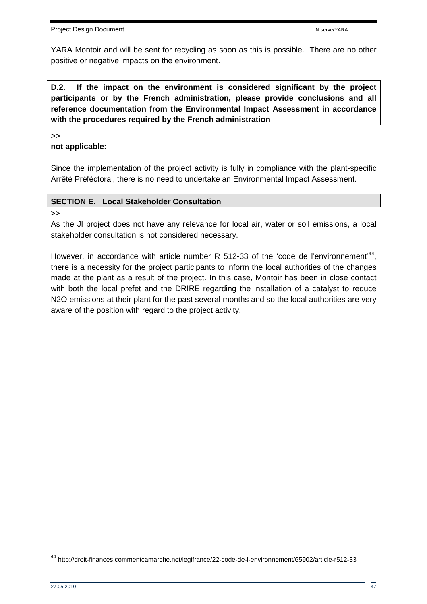YARA Montoir and will be sent for recycling as soon as this is possible. There are no other positive or negative impacts on the environment.

**D.2. If the impact on the environment is considered significant by the project participants or by the French administration, please provide conclusions and all reference documentation from the Environmental Impact Assessment in accordance with the procedures required by the French administration** 

>>

### **not applicable:**

Since the implementation of the project activity is fully in compliance with the plant-specific Arrêté Préféctoral, there is no need to undertake an Environmental Impact Assessment.

### **SECTION E. Local Stakeholder Consultation**

>>

As the JI project does not have any relevance for local air, water or soil emissions, a local stakeholder consultation is not considered necessary.

However, in accordance with article number R 512-33 of the 'code de l'environnement'<sup>44</sup>, there is a necessity for the project participants to inform the local authorities of the changes made at the plant as a result of the project. In this case, Montoir has been in close contact with both the local prefet and the DRIRE regarding the installation of a catalyst to reduce N<sub>2</sub>O emissions at their plant for the past several months and so the local authorities are very aware of the position with regard to the project activity.

<sup>44</sup> http://droit-finances.commentcamarche.net/legifrance/22-code-de-l-environnement/65902/article-r512-33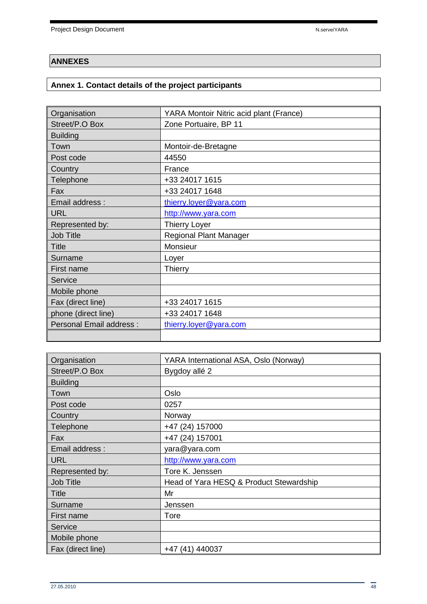# **ANNEXES**

# **Annex 1. Contact details of the project participants**

| Organisation             | YARA Montoir Nitric acid plant (France) |
|--------------------------|-----------------------------------------|
| Street/P.O Box           | Zone Portuaire, BP 11                   |
| <b>Building</b>          |                                         |
| Town                     | Montoir-de-Bretagne                     |
| Post code                | 44550                                   |
| Country                  | France                                  |
| Telephone                | +33 24017 1615                          |
| Fax                      | +33 24017 1648                          |
| Email address:           | thierry.loyer@yara.com                  |
| <b>URL</b>               | http://www.yara.com                     |
| Represented by:          | <b>Thierry Loyer</b>                    |
| <b>Job Title</b>         | <b>Regional Plant Manager</b>           |
| <b>Title</b>             | Monsieur                                |
| Surname                  | Loyer                                   |
| First name               | <b>Thierry</b>                          |
| Service                  |                                         |
| Mobile phone             |                                         |
| Fax (direct line)        | +33 24017 1615                          |
| phone (direct line)      | +33 24017 1648                          |
| Personal Email address : | thierry.loyer@yara.com                  |
|                          |                                         |

| Organisation      | YARA International ASA, Oslo (Norway)   |
|-------------------|-----------------------------------------|
| Street/P.O Box    | Bygdoy allé 2                           |
| <b>Building</b>   |                                         |
| Town              | Oslo                                    |
| Post code         | 0257                                    |
| Country           | Norway                                  |
| Telephone         | +47 (24) 157000                         |
| Fax               | +47 (24) 157001                         |
| Email address:    | yara@yara.com                           |
| <b>URL</b>        | http://www.yara.com                     |
| Represented by:   | Tore K. Jenssen                         |
| <b>Job Title</b>  | Head of Yara HESQ & Product Stewardship |
| <b>Title</b>      | Mr                                      |
| Surname           | Jenssen                                 |
| First name        | Tore                                    |
| Service           |                                         |
| Mobile phone      |                                         |
| Fax (direct line) | +47 (41) 440037                         |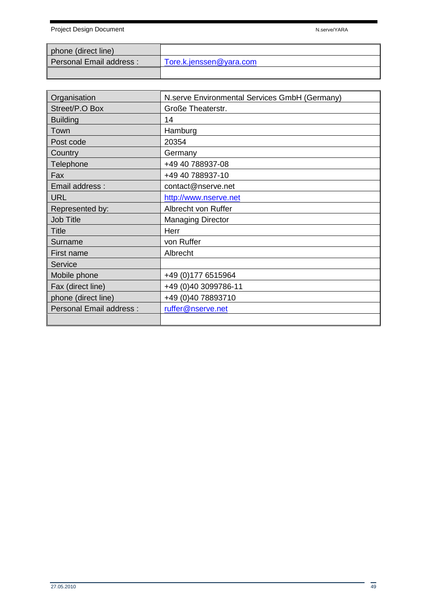Project Design Document National According to the National According National According National According National According National According National According National According National According National According N

| phone (direct line)      |                         |
|--------------------------|-------------------------|
| Personal Email address : | Tore.k.jenssen@yara.com |
|                          |                         |

| Organisation                   | N.serve Environmental Services GmbH (Germany) |
|--------------------------------|-----------------------------------------------|
| Street/P.O Box                 | Große Theaterstr.                             |
| <b>Building</b>                | 14                                            |
| Town                           | Hamburg                                       |
| Post code                      | 20354                                         |
| Country                        | Germany                                       |
| Telephone                      | +49 40 788937-08                              |
| Fax                            | +49 40 788937-10                              |
| Email address:                 | contact@nserve.net                            |
| <b>URL</b>                     | http://www.nserve.net                         |
| Represented by:                | Albrecht von Ruffer                           |
| <b>Job Title</b>               | <b>Managing Director</b>                      |
| <b>Title</b>                   | Herr                                          |
| Surname                        | von Ruffer                                    |
| First name                     | Albrecht                                      |
| Service                        |                                               |
| Mobile phone                   | +49 (0) 177 6515964                           |
| Fax (direct line)              | +49 (0)40 3099786-11                          |
| phone (direct line)            | +49 (0)40 78893710                            |
| <b>Personal Email address:</b> | ruffer@nserve.net                             |
|                                |                                               |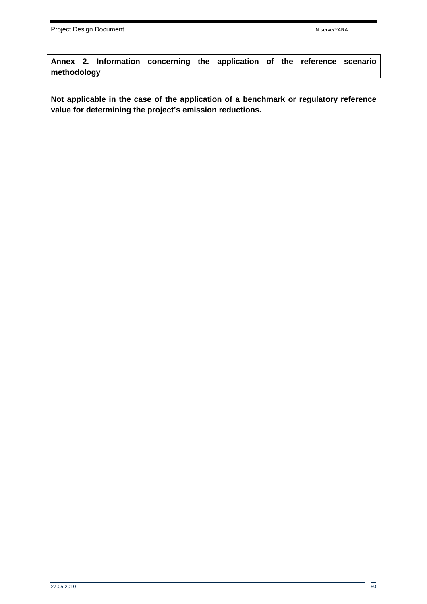**Annex 2. Information concerning the application of the reference scenario methodology** 

**Not applicable in the case of the application of a benchmark or regulatory reference value for determining the project's emission reductions.**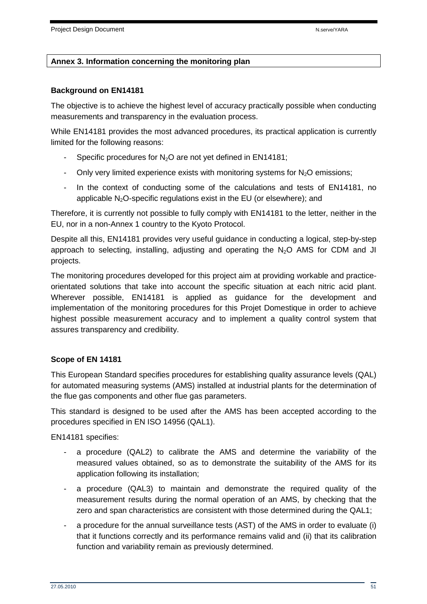#### **Annex 3. Information concerning the monitoring plan**

#### **Background on EN14181**

The objective is to achieve the highest level of accuracy practically possible when conducting measurements and transparency in the evaluation process.

While EN14181 provides the most advanced procedures, its practical application is currently limited for the following reasons:

- Specific procedures for  $N_2O$  are not yet defined in EN14181;
- Only very limited experience exists with monitoring systems for  $N_2O$  emissions;
- In the context of conducting some of the calculations and tests of EN14181, no applicable  $N_2O$ -specific regulations exist in the EU (or elsewhere); and

Therefore, it is currently not possible to fully comply with EN14181 to the letter, neither in the EU, nor in a non-Annex 1 country to the Kyoto Protocol.

Despite all this, EN14181 provides very useful guidance in conducting a logical, step-by-step approach to selecting, installing, adjusting and operating the  $N_2O$  AMS for CDM and JI projects.

The monitoring procedures developed for this project aim at providing workable and practiceorientated solutions that take into account the specific situation at each nitric acid plant. Wherever possible, EN14181 is applied as guidance for the development and implementation of the monitoring procedures for this Projet Domestique in order to achieve highest possible measurement accuracy and to implement a quality control system that assures transparency and credibility.

### **Scope of EN 14181**

This European Standard specifies procedures for establishing quality assurance levels (QAL) for automated measuring systems (AMS) installed at industrial plants for the determination of the flue gas components and other flue gas parameters.

This standard is designed to be used after the AMS has been accepted according to the procedures specified in EN ISO 14956 (QAL1).

EN14181 specifies:

- a procedure (QAL2) to calibrate the AMS and determine the variability of the measured values obtained, so as to demonstrate the suitability of the AMS for its application following its installation;
- a procedure (QAL3) to maintain and demonstrate the required quality of the measurement results during the normal operation of an AMS, by checking that the zero and span characteristics are consistent with those determined during the QAL1;
- a procedure for the annual surveillance tests (AST) of the AMS in order to evaluate (i) that it functions correctly and its performance remains valid and (ii) that its calibration function and variability remain as previously determined.